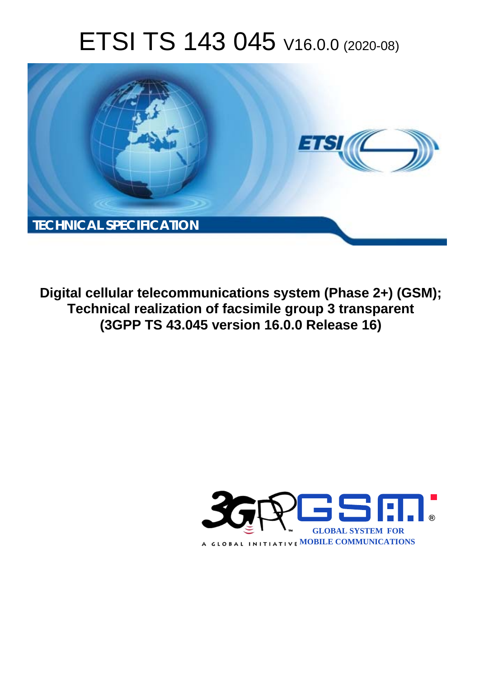# ETSI TS 143 045 V16.0.0 (2020-08)



**Digital cellular telecommunications system (Phase 2+) (GSM); Technical realization of facsimile group 3 transparent (3GPP TS 43.045 version 16.0.0 Release 16)** 

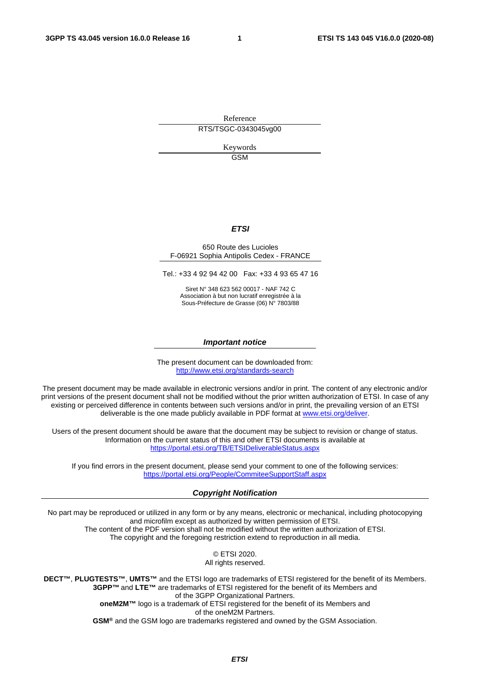Reference RTS/TSGC-0343045vg00

> Keywords GSM

#### *ETSI*

#### 650 Route des Lucioles F-06921 Sophia Antipolis Cedex - FRANCE

Tel.: +33 4 92 94 42 00 Fax: +33 4 93 65 47 16

Siret N° 348 623 562 00017 - NAF 742 C Association à but non lucratif enregistrée à la Sous-Préfecture de Grasse (06) N° 7803/88

#### *Important notice*

The present document can be downloaded from: <http://www.etsi.org/standards-search>

The present document may be made available in electronic versions and/or in print. The content of any electronic and/or print versions of the present document shall not be modified without the prior written authorization of ETSI. In case of any existing or perceived difference in contents between such versions and/or in print, the prevailing version of an ETSI deliverable is the one made publicly available in PDF format at [www.etsi.org/deliver](http://www.etsi.org/deliver).

Users of the present document should be aware that the document may be subject to revision or change of status. Information on the current status of this and other ETSI documents is available at <https://portal.etsi.org/TB/ETSIDeliverableStatus.aspx>

If you find errors in the present document, please send your comment to one of the following services: <https://portal.etsi.org/People/CommiteeSupportStaff.aspx>

#### *Copyright Notification*

No part may be reproduced or utilized in any form or by any means, electronic or mechanical, including photocopying and microfilm except as authorized by written permission of ETSI. The content of the PDF version shall not be modified without the written authorization of ETSI. The copyright and the foregoing restriction extend to reproduction in all media.

> © ETSI 2020. All rights reserved.

**DECT™**, **PLUGTESTS™**, **UMTS™** and the ETSI logo are trademarks of ETSI registered for the benefit of its Members. **3GPP™** and **LTE™** are trademarks of ETSI registered for the benefit of its Members and of the 3GPP Organizational Partners. **oneM2M™** logo is a trademark of ETSI registered for the benefit of its Members and of the oneM2M Partners. **GSM®** and the GSM logo are trademarks registered and owned by the GSM Association.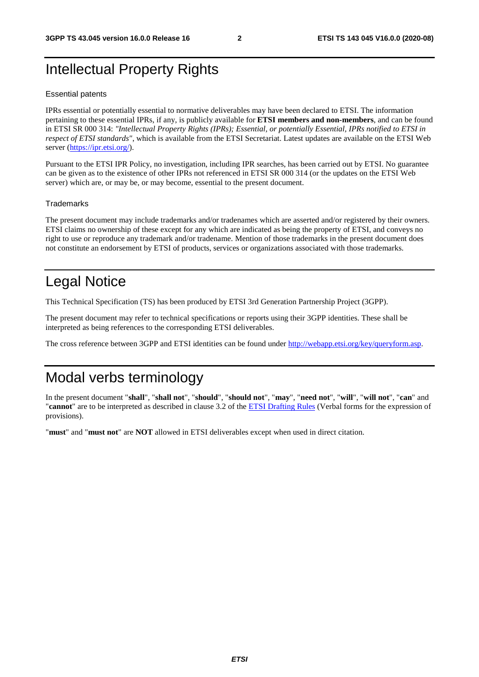## Intellectual Property Rights

#### Essential patents

IPRs essential or potentially essential to normative deliverables may have been declared to ETSI. The information pertaining to these essential IPRs, if any, is publicly available for **ETSI members and non-members**, and can be found in ETSI SR 000 314: *"Intellectual Property Rights (IPRs); Essential, or potentially Essential, IPRs notified to ETSI in respect of ETSI standards"*, which is available from the ETSI Secretariat. Latest updates are available on the ETSI Web server [\(https://ipr.etsi.org/](https://ipr.etsi.org/)).

Pursuant to the ETSI IPR Policy, no investigation, including IPR searches, has been carried out by ETSI. No guarantee can be given as to the existence of other IPRs not referenced in ETSI SR 000 314 (or the updates on the ETSI Web server) which are, or may be, or may become, essential to the present document.

#### **Trademarks**

The present document may include trademarks and/or tradenames which are asserted and/or registered by their owners. ETSI claims no ownership of these except for any which are indicated as being the property of ETSI, and conveys no right to use or reproduce any trademark and/or tradename. Mention of those trademarks in the present document does not constitute an endorsement by ETSI of products, services or organizations associated with those trademarks.

## Legal Notice

This Technical Specification (TS) has been produced by ETSI 3rd Generation Partnership Project (3GPP).

The present document may refer to technical specifications or reports using their 3GPP identities. These shall be interpreted as being references to the corresponding ETSI deliverables.

The cross reference between 3GPP and ETSI identities can be found under<http://webapp.etsi.org/key/queryform.asp>.

## Modal verbs terminology

In the present document "**shall**", "**shall not**", "**should**", "**should not**", "**may**", "**need not**", "**will**", "**will not**", "**can**" and "**cannot**" are to be interpreted as described in clause 3.2 of the [ETSI Drafting Rules](https://portal.etsi.org/Services/editHelp!/Howtostart/ETSIDraftingRules.aspx) (Verbal forms for the expression of provisions).

"**must**" and "**must not**" are **NOT** allowed in ETSI deliverables except when used in direct citation.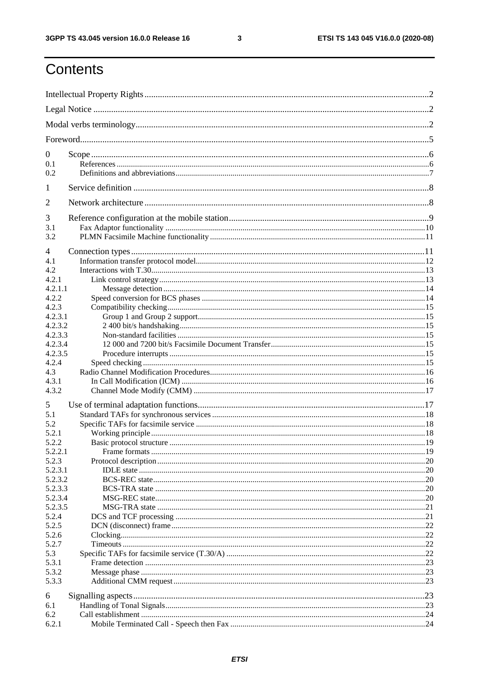$\mathbf{3}$ 

## Contents

| $\boldsymbol{0}$   |  |  |  |  |  |  |
|--------------------|--|--|--|--|--|--|
| 0.1                |  |  |  |  |  |  |
| 0.2                |  |  |  |  |  |  |
| 1                  |  |  |  |  |  |  |
| $\overline{2}$     |  |  |  |  |  |  |
| 3                  |  |  |  |  |  |  |
| 3.1                |  |  |  |  |  |  |
| 3.2                |  |  |  |  |  |  |
| 4                  |  |  |  |  |  |  |
| 4.1                |  |  |  |  |  |  |
| 4.2                |  |  |  |  |  |  |
| 4.2.1              |  |  |  |  |  |  |
| 4.2.1.1            |  |  |  |  |  |  |
| 4.2.2              |  |  |  |  |  |  |
| 4.2.3              |  |  |  |  |  |  |
| 4.2.3.1            |  |  |  |  |  |  |
| 4.2.3.2            |  |  |  |  |  |  |
| 4.2.3.3            |  |  |  |  |  |  |
| 4.2.3.4            |  |  |  |  |  |  |
| 4.2.3.5            |  |  |  |  |  |  |
| 4.2.4              |  |  |  |  |  |  |
| 4.3                |  |  |  |  |  |  |
| 4.3.1<br>4.3.2     |  |  |  |  |  |  |
|                    |  |  |  |  |  |  |
| 5                  |  |  |  |  |  |  |
| 5.1                |  |  |  |  |  |  |
| 5.2                |  |  |  |  |  |  |
| 5.2.1              |  |  |  |  |  |  |
| 5.2.2              |  |  |  |  |  |  |
| 5.2.2.1            |  |  |  |  |  |  |
| 5.2.3              |  |  |  |  |  |  |
| 5.2.3.1            |  |  |  |  |  |  |
| 5.2.3.2<br>5.2.3.3 |  |  |  |  |  |  |
| 5.2.3.4            |  |  |  |  |  |  |
| 5.2.3.5            |  |  |  |  |  |  |
| 5.2.4              |  |  |  |  |  |  |
| 5.2.5              |  |  |  |  |  |  |
| 5.2.6              |  |  |  |  |  |  |
| 5.2.7              |  |  |  |  |  |  |
| 5.3                |  |  |  |  |  |  |
| 5.3.1              |  |  |  |  |  |  |
| 5.3.2              |  |  |  |  |  |  |
| 5.3.3              |  |  |  |  |  |  |
| 6                  |  |  |  |  |  |  |
| 6.1                |  |  |  |  |  |  |
| 6.2                |  |  |  |  |  |  |
| 6.2.1              |  |  |  |  |  |  |
|                    |  |  |  |  |  |  |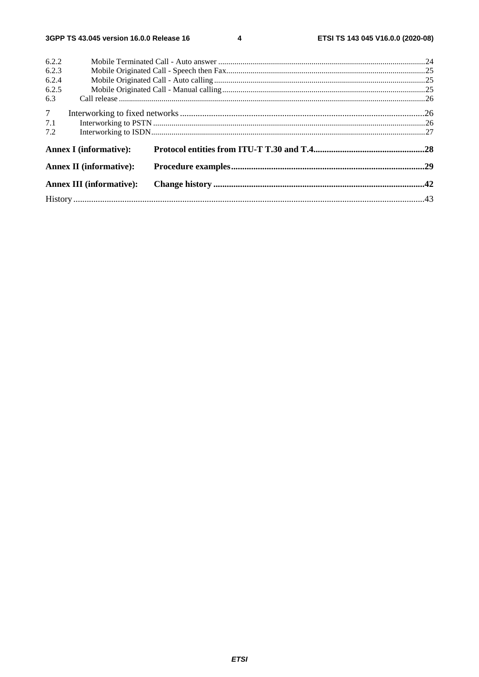$\overline{\mathbf{4}}$ 

| 6.2.2          |                                 |  |  |  |  |  |
|----------------|---------------------------------|--|--|--|--|--|
| 6.2.3          |                                 |  |  |  |  |  |
| 6.2.4          |                                 |  |  |  |  |  |
| 6.2.5          |                                 |  |  |  |  |  |
| 6.3            |                                 |  |  |  |  |  |
| 7 <sup>7</sup> |                                 |  |  |  |  |  |
| 7.1            |                                 |  |  |  |  |  |
| 7.2            |                                 |  |  |  |  |  |
|                | <b>Annex I</b> (informative):   |  |  |  |  |  |
|                | <b>Annex II (informative):</b>  |  |  |  |  |  |
|                | <b>Annex III (informative):</b> |  |  |  |  |  |
|                |                                 |  |  |  |  |  |
|                |                                 |  |  |  |  |  |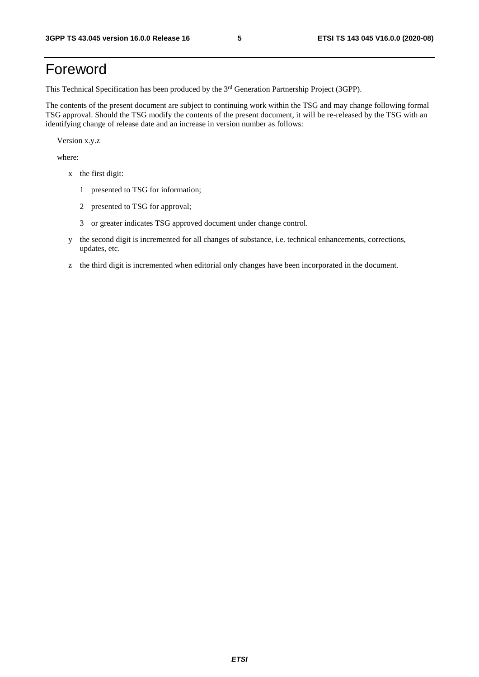## Foreword

This Technical Specification has been produced by the 3<sup>rd</sup> Generation Partnership Project (3GPP).

The contents of the present document are subject to continuing work within the TSG and may change following formal TSG approval. Should the TSG modify the contents of the present document, it will be re-released by the TSG with an identifying change of release date and an increase in version number as follows:

Version x.y.z

where:

- x the first digit:
	- 1 presented to TSG for information;
	- 2 presented to TSG for approval;
	- 3 or greater indicates TSG approved document under change control.
- y the second digit is incremented for all changes of substance, i.e. technical enhancements, corrections, updates, etc.
- z the third digit is incremented when editorial only changes have been incorporated in the document.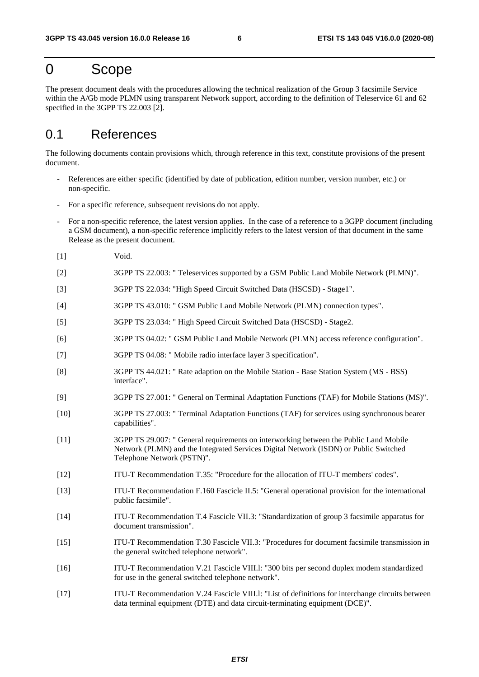### 0 Scope

The present document deals with the procedures allowing the technical realization of the Group 3 facsimile Service within the A/Gb mode PLMN using transparent Network support, according to the definition of Teleservice 61 and 62 specified in the 3GPP TS 22.003 [2].

### 0.1 References

The following documents contain provisions which, through reference in this text, constitute provisions of the present document.

- References are either specific (identified by date of publication, edition number, version number, etc.) or non-specific.
- For a specific reference, subsequent revisions do not apply.
- For a non-specific reference, the latest version applies. In the case of a reference to a 3GPP document (including a GSM document), a non-specific reference implicitly refers to the latest version of that document in the same Release as the present document.
- [1] Void.
- [2] 3GPP TS 22.003: " Teleservices supported by a GSM Public Land Mobile Network (PLMN)".
- [3] 3GPP TS 22.034: "High Speed Circuit Switched Data (HSCSD) Stage1".
- [4] 3GPP TS 43.010: " GSM Public Land Mobile Network (PLMN) connection types".
- [5] 3GPP TS 23.034: " High Speed Circuit Switched Data (HSCSD) Stage2.
- [6] 3GPP TS 04.02: " GSM Public Land Mobile Network (PLMN) access reference configuration".
- [7] 3GPP TS 04.08: " Mobile radio interface layer 3 specification".
- [8] 3GPP TS 44.021: " Rate adaption on the Mobile Station Base Station System (MS BSS) interface".
- [9] 3GPP TS 27.001: " General on Terminal Adaptation Functions (TAF) for Mobile Stations (MS)".
- [10] 3GPP TS 27.003: " Terminal Adaptation Functions (TAF) for services using synchronous bearer capabilities".
- [11] 3GPP TS 29.007: " General requirements on interworking between the Public Land Mobile Network (PLMN) and the Integrated Services Digital Network (ISDN) or Public Switched Telephone Network (PSTN)".
- [12] ITU-T Recommendation T.35: "Procedure for the allocation of ITU-T members' codes".
- [13] ITU-T Recommendation F.160 Fascicle II.5: "General operational provision for the international public facsimile".
- [14] ITU-T Recommendation T.4 Fascicle VII.3: "Standardization of group 3 facsimile apparatus for document transmission".
- [15] ITU-T Recommendation T.30 Fascicle VII.3: "Procedures for document facsimile transmission in the general switched telephone network".
- [16] ITU-T Recommendation V.21 Fascicle VIII.l: "300 bits per second duplex modem standardized for use in the general switched telephone network".
- [17] ITU-T Recommendation V.24 Fascicle VIII.l: "List of definitions for interchange circuits between data terminal equipment (DTE) and data circuit-terminating equipment (DCE)".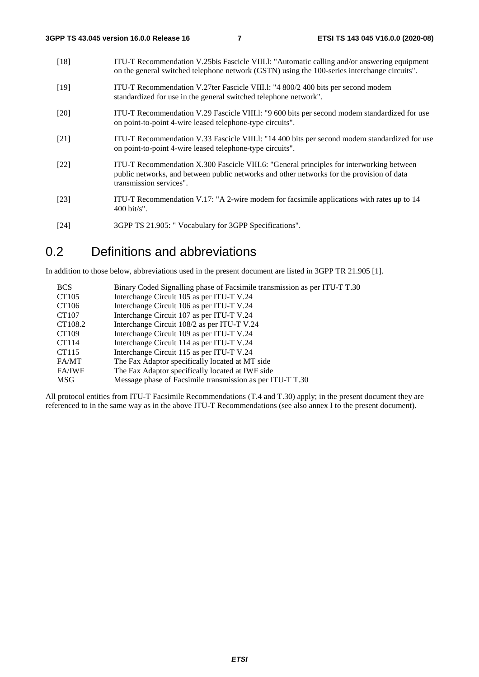- [18] ITU-T Recommendation V.25bis Fascicle VIII.l: "Automatic calling and/or answering equipment on the general switched telephone network (GSTN) using the 100-series interchange circuits". [19] ITU-T Recommendation V.27ter Fascicle VIII.l: "4 800/2 400 bits per second modem standardized for use in the general switched telephone network". [20] ITU-T Recommendation V.29 Fascicle VIII.l: "9 600 bits per second modem standardized for use on point-to-point 4-wire leased telephone-type circuits". [21] ITU-T Recommendation V.33 Fascicle VIII.l: "14 400 bits per second modem standardized for use on point-to-point 4-wire leased telephone-type circuits". [22] ITU-T Recommendation X.300 Fascicle VIII.6: "General principles for interworking between public networks, and between public networks and other networks for the provision of data transmission services". [23] ITU-T Recommendation V.17: "A 2-wire modem for facsimile applications with rates up to 14 400 bit/s".
- [24] 3GPP TS 21.905: " Vocabulary for 3GPP Specifications".

### 0.2 Definitions and abbreviations

In addition to those below, abbreviations used in the present document are listed in 3GPP TR 21.905 [1].

| <b>BCS</b>    | Binary Coded Signalling phase of Facsimile transmission as per ITU-T T.30 |
|---------------|---------------------------------------------------------------------------|
| CT105         | Interchange Circuit 105 as per ITU-T V.24                                 |
| CT106         | Interchange Circuit 106 as per ITU-T V.24                                 |
| CT107         | Interchange Circuit 107 as per ITU-T V.24                                 |
| CT108.2       | Interchange Circuit 108/2 as per ITU-T V.24                               |
| CT109         | Interchange Circuit 109 as per ITU-T V.24                                 |
| CT114         | Interchange Circuit 114 as per ITU-T V.24                                 |
| CT115         | Interchange Circuit 115 as per ITU-T V.24                                 |
| FA/MT         | The Fax Adaptor specifically located at MT side                           |
| <b>FA/IWF</b> | The Fax Adaptor specifically located at IWF side                          |
| <b>MSG</b>    | Message phase of Facsimile transmission as per ITU-T T.30                 |

All protocol entities from ITU-T Facsimile Recommendations (T.4 and T.30) apply; in the present document they are referenced to in the same way as in the above ITU-T Recommendations (see also annex I to the present document).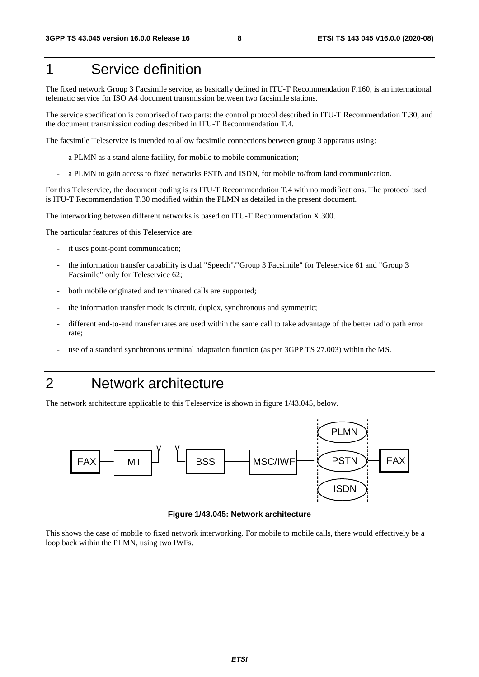## 1 Service definition

The fixed network Group 3 Facsimile service, as basically defined in ITU-T Recommendation F.160, is an international telematic service for ISO A4 document transmission between two facsimile stations.

The service specification is comprised of two parts: the control protocol described in ITU-T Recommendation T.30, and the document transmission coding described in ITU-T Recommendation T.4.

The facsimile Teleservice is intended to allow facsimile connections between group 3 apparatus using:

- a PLMN as a stand alone facility, for mobile to mobile communication;
- a PLMN to gain access to fixed networks PSTN and ISDN, for mobile to/from land communication.

For this Teleservice, the document coding is as ITU-T Recommendation T.4 with no modifications. The protocol used is ITU-T Recommendation T.30 modified within the PLMN as detailed in the present document.

The interworking between different networks is based on ITU-T Recommendation X.300.

The particular features of this Teleservice are:

- it uses point-point communication;
- the information transfer capability is dual "Speech"/"Group 3 Facsimile" for Teleservice 61 and "Group 3 Facsimile" only for Teleservice 62;
- both mobile originated and terminated calls are supported;
- the information transfer mode is circuit, duplex, synchronous and symmetric;
- different end-to-end transfer rates are used within the same call to take advantage of the better radio path error rate;
- use of a standard synchronous terminal adaptation function (as per 3GPP TS 27.003) within the MS.

### 2 Network architecture

The network architecture applicable to this Teleservice is shown in figure 1/43.045, below.



**Figure 1/43.045: Network architecture** 

This shows the case of mobile to fixed network interworking. For mobile to mobile calls, there would effectively be a loop back within the PLMN, using two IWFs.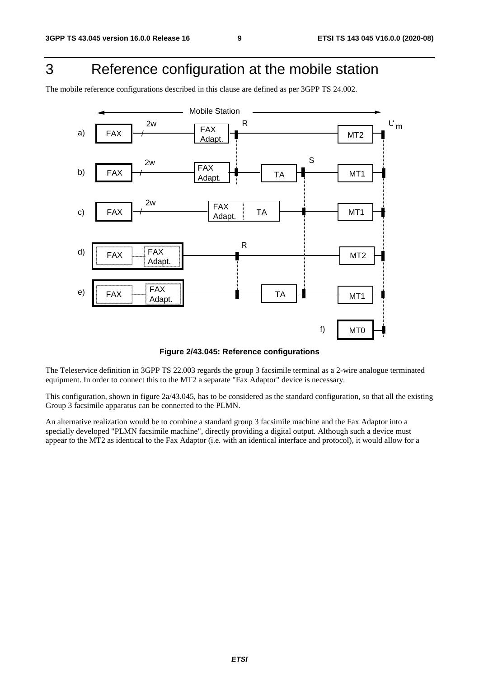## 3 Reference configuration at the mobile station

The mobile reference configurations described in this clause are defined as per 3GPP TS 24.002.



**Figure 2/43.045: Reference configurations** 

The Teleservice definition in 3GPP TS 22.003 regards the group 3 facsimile terminal as a 2-wire analogue terminated equipment. In order to connect this to the MT2 a separate "Fax Adaptor" device is necessary.

This configuration, shown in figure 2a/43.045, has to be considered as the standard configuration, so that all the existing Group 3 facsimile apparatus can be connected to the PLMN.

An alternative realization would be to combine a standard group 3 facsimile machine and the Fax Adaptor into a specially developed "PLMN facsimile machine", directly providing a digital output. Although such a device must appear to the MT2 as identical to the Fax Adaptor (i.e. with an identical interface and protocol), it would allow for a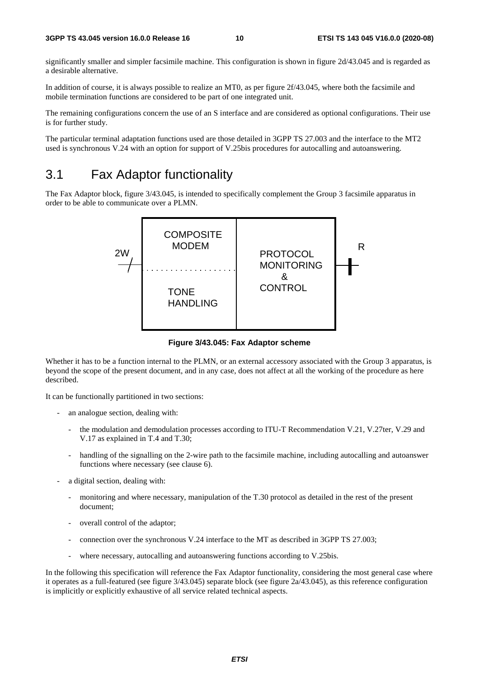significantly smaller and simpler facsimile machine. This configuration is shown in figure 2d/43.045 and is regarded as a desirable alternative.

In addition of course, it is always possible to realize an MT0, as per figure 2f/43.045, where both the facsimile and mobile termination functions are considered to be part of one integrated unit.

The remaining configurations concern the use of an S interface and are considered as optional configurations. Their use is for further study.

The particular terminal adaptation functions used are those detailed in 3GPP TS 27.003 and the interface to the MT2 used is synchronous V.24 with an option for support of V.25bis procedures for autocalling and autoanswering.

### 3.1 Fax Adaptor functionality

The Fax Adaptor block, figure 3/43.045, is intended to specifically complement the Group 3 facsimile apparatus in order to be able to communicate over a PLMN.



**Figure 3/43.045: Fax Adaptor scheme** 

Whether it has to be a function internal to the PLMN, or an external accessory associated with the Group 3 apparatus, is beyond the scope of the present document, and in any case, does not affect at all the working of the procedure as here described.

It can be functionally partitioned in two sections:

- an analogue section, dealing with:
	- the modulation and demodulation processes according to ITU-T Recommendation V.21, V.27ter, V.29 and V.17 as explained in T.4 and T.30;
	- handling of the signalling on the 2-wire path to the facsimile machine, including autocalling and autoanswer functions where necessary (see clause 6).
- a digital section, dealing with:
	- monitoring and where necessary, manipulation of the T.30 protocol as detailed in the rest of the present document;
	- overall control of the adaptor;
	- connection over the synchronous V.24 interface to the MT as described in 3GPP TS 27.003;
	- where necessary, autocalling and autoanswering functions according to V.25bis.

In the following this specification will reference the Fax Adaptor functionality, considering the most general case where it operates as a full-featured (see figure 3/43.045) separate block (see figure 2a/43.045), as this reference configuration is implicitly or explicitly exhaustive of all service related technical aspects.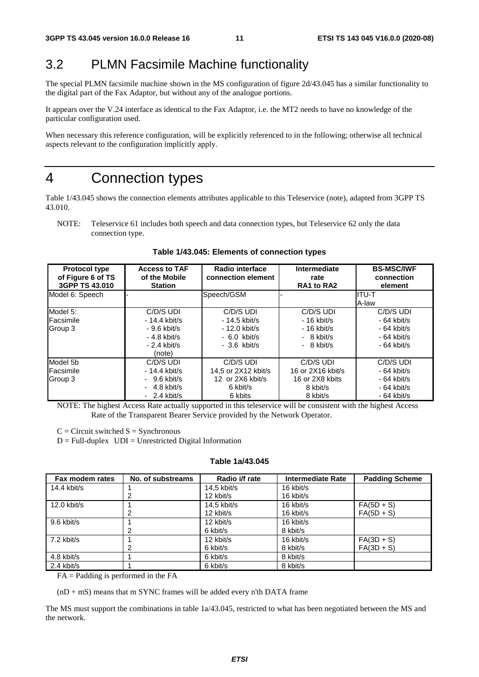### 3.2 PLMN Facsimile Machine functionality

The special PLMN facsimile machine shown in the MS configuration of figure 2d/43.045 has a similar functionality to the digital part of the Fax Adaptor, but without any of the analogue portions.

It appears over the V.24 interface as identical to the Fax Adaptor, i.e. the MT2 needs to have no knowledge of the particular configuration used.

When necessary this reference configuration, will be explicitly referenced to in the following; otherwise all technical aspects relevant to the configuration implicitly apply.

### 4 Connection types

Table 1/43.045 shows the connection elements attributes applicable to this Teleservice (note), adapted from 3GPP TS 43.010.

NOTE: Teleservice 61 includes both speech and data connection types, but Teleservice 62 only the data connection type.

| <b>Protocol type</b><br>of Figure 6 of TS<br>3GPP TS 43.010 | <b>Access to TAF</b><br>of the Mobile<br><b>Station</b>                                  | Radio interface<br>connection element                                           | Intermediate<br>rate<br>RA1 to RA2                                        | <b>BS-MSC/IWF</b><br>connection<br>element                                |
|-------------------------------------------------------------|------------------------------------------------------------------------------------------|---------------------------------------------------------------------------------|---------------------------------------------------------------------------|---------------------------------------------------------------------------|
| Model 6: Speech                                             |                                                                                          | Speech/GSM                                                                      |                                                                           | ITU-T<br>A-law                                                            |
| Model 5:<br>Facsimile<br>Group 3                            | C/D/S UDI<br>$-14.4$ kbit/s<br>$-9.6$ kbit/s<br>$-4.8$ kbit/s<br>$-2.4$ kbit/s<br>(note) | C/D/S UDI<br>$-14.5$ kbit/s<br>$-12.0$ kbit/s<br>$-6.0$ kbit/s<br>$-3.6$ kbit/s | C/D/S UDI<br>$-16$ kbit/s<br>$-16$ kbit/s<br>$-8$ kbit/s<br>$-8$ kbit/s   | C/D/S UDI<br>$-64$ kbit/s<br>$-64$ kbit/s<br>$-64$ kbit/s<br>$-64$ kbit/s |
| Model 5b<br>Facsimile<br>Group 3                            | C/D/S UDI<br>$-14.4$ kbit/s<br>$-9.6$ kbit/s<br>$-4.8$ kbit/s<br>$-2.4$ kbit/s           | C/D/S UDI<br>14,5 or 2X12 kbit/s<br>12 or 2X6 kbit/s<br>6 kbit/s<br>6 kbits     | C/D/S UDI<br>16 or 2X16 kbit/s<br>16 or 2X8 kbits<br>8 kbit/s<br>8 kbit/s | C/D/S UDI<br>$-64$ kbit/s<br>$-64$ kbit/s<br>$-64$ kbit/s<br>$-64$ kbit/s |

**Table 1/43.045: Elements of connection types** 

NOTE: The highest Access Rate actually supported in this teleservice will be consistent with the highest Access Rate of the Transparent Bearer Service provided by the Network Operator.

 $C =$  Circuit switched  $S =$  Synchronous

 $D = Full-duplex$   $UDI = Unrestricted Digital Information$ 

#### **Table 1a/43.045**

| Fax modem rates | No. of substreams | Radio i/f rate | Intermediate Rate | <b>Padding Scheme</b> |
|-----------------|-------------------|----------------|-------------------|-----------------------|
| 14.4 kbit/s     |                   | $14.5$ kbit/s  | 16 kbit/s         |                       |
|                 | 2                 | 12 kbit/s      | 16 kbit/s         |                       |
| $12.0$ kbit/s   |                   | $14.5$ kbit/s  | 16 kbit/s         | $FA(5D + S)$          |
|                 | 2                 | 12 kbit/s      | 16 kbit/s         | $FA(5D + S)$          |
| 9.6 kbit/s      |                   | 12 kbit/s      | 16 kbit/s         |                       |
|                 | 2                 | 6 kbit/s       | 8 kbit/s          |                       |
| 7.2 kbit/s      |                   | 12 kbit/s      | 16 kbit/s         | $FA(3D + S)$          |
|                 | 2                 | 6 kbit/s       | 8 kbit/s          | $FA(3D + S)$          |
| 4.8 kbit/s      |                   | 6 kbit/s       | 8 kbit/s          |                       |
| 2.4 kbit/s      |                   | 6 kbit/s       | 8 kbit/s          |                       |

FA = Padding is performed in the FA

 $(nD + mS)$  means that m SYNC frames will be added every n'th DATA frame

The MS must support the combinations in table 1a/43.045, restricted to what has been negotiated between the MS and the network.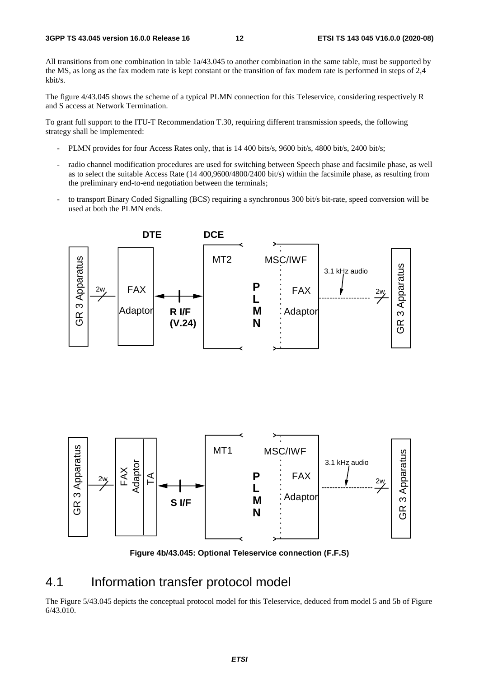All transitions from one combination in table 1a/43.045 to another combination in the same table, must be supported by the MS, as long as the fax modem rate is kept constant or the transition of fax modem rate is performed in steps of 2,4 kbit/s.

The figure 4/43.045 shows the scheme of a typical PLMN connection for this Teleservice, considering respectively R and S access at Network Termination.

To grant full support to the ITU-T Recommendation T.30, requiring different transmission speeds, the following strategy shall be implemented:

- PLMN provides for four Access Rates only, that is 14 400 bits/s, 9600 bit/s, 4800 bit/s, 2400 bit/s;
- radio channel modification procedures are used for switching between Speech phase and facsimile phase, as well as to select the suitable Access Rate (14 400,9600/4800/2400 bit/s) within the facsimile phase, as resulting from the preliminary end-to-end negotiation between the terminals;
- to transport Binary Coded Signalling (BCS) requiring a synchronous 300 bit/s bit-rate, speed conversion will be used at both the PLMN ends.





**Figure 4b/43.045: Optional Teleservice connection (F.F.S)** 

### 4.1 Information transfer protocol model

The Figure 5/43.045 depicts the conceptual protocol model for this Teleservice, deduced from model 5 and 5b of Figure 6/43.010.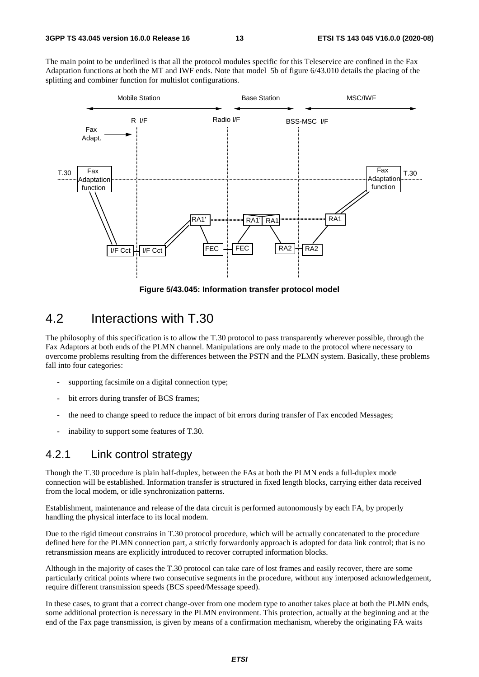The main point to be underlined is that all the protocol modules specific for this Teleservice are confined in the Fax Adaptation functions at both the MT and IWF ends. Note that model 5b of figure 6/43.010 details the placing of the splitting and combiner function for multislot configurations.



**Figure 5/43.045: Information transfer protocol model** 

### 4.2 Interactions with T.30

The philosophy of this specification is to allow the T.30 protocol to pass transparently wherever possible, through the Fax Adaptors at both ends of the PLMN channel. Manipulations are only made to the protocol where necessary to overcome problems resulting from the differences between the PSTN and the PLMN system. Basically, these problems fall into four categories:

- supporting facsimile on a digital connection type;
- bit errors during transfer of BCS frames;
- the need to change speed to reduce the impact of bit errors during transfer of Fax encoded Messages;
- inability to support some features of T.30.

#### 4.2.1 Link control strategy

Though the T.30 procedure is plain half-duplex, between the FAs at both the PLMN ends a full-duplex mode connection will be established. Information transfer is structured in fixed length blocks, carrying either data received from the local modem, or idle synchronization patterns.

Establishment, maintenance and release of the data circuit is performed autonomously by each FA, by properly handling the physical interface to its local modem.

Due to the rigid timeout constrains in T.30 protocol procedure, which will be actually concatenated to the procedure defined here for the PLMN connection part, a strictly forwardonly approach is adopted for data link control; that is no retransmission means are explicitly introduced to recover corrupted information blocks.

Although in the majority of cases the T.30 protocol can take care of lost frames and easily recover, there are some particularly critical points where two consecutive segments in the procedure, without any interposed acknowledgement, require different transmission speeds (BCS speed/Message speed).

In these cases, to grant that a correct change-over from one modem type to another takes place at both the PLMN ends, some additional protection is necessary in the PLMN environment. This protection, actually at the beginning and at the end of the Fax page transmission, is given by means of a confirmation mechanism, whereby the originating FA waits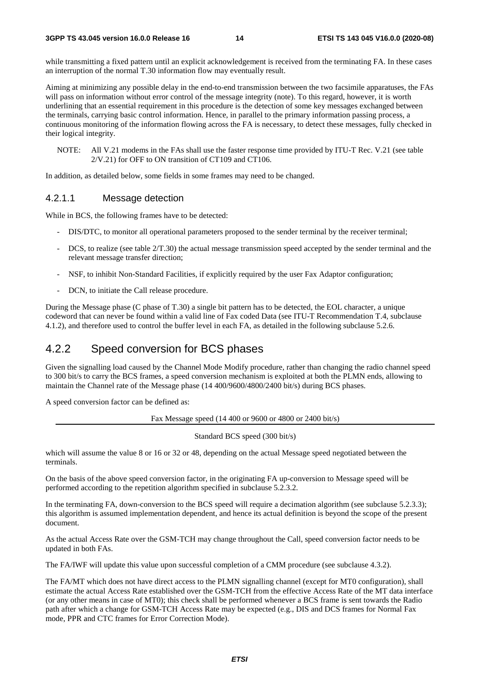while transmitting a fixed pattern until an explicit acknowledgement is received from the terminating FA. In these cases an interruption of the normal T.30 information flow may eventually result.

Aiming at minimizing any possible delay in the end-to-end transmission between the two facsimile apparatuses, the FAs will pass on information without error control of the message integrity (note). To this regard, however, it is worth underlining that an essential requirement in this procedure is the detection of some key messages exchanged between the terminals, carrying basic control information. Hence, in parallel to the primary information passing process, a continuous monitoring of the information flowing across the FA is necessary, to detect these messages, fully checked in their logical integrity.

NOTE: All V.21 modems in the FAs shall use the faster response time provided by ITU-T Rec. V.21 (see table 2/V.21) for OFF to ON transition of CT109 and CT106.

In addition, as detailed below, some fields in some frames may need to be changed.

#### 4.2.1.1 Message detection

While in BCS, the following frames have to be detected:

- DIS/DTC, to monitor all operational parameters proposed to the sender terminal by the receiver terminal;
- DCS, to realize (see table  $2/T.30$ ) the actual message transmission speed accepted by the sender terminal and the relevant message transfer direction;
- NSF, to inhibit Non-Standard Facilities, if explicitly required by the user Fax Adaptor configuration;
- DCN, to initiate the Call release procedure.

During the Message phase (C phase of T.30) a single bit pattern has to be detected, the EOL character, a unique codeword that can never be found within a valid line of Fax coded Data (see ITU-T Recommendation T.4, subclause 4.1.2), and therefore used to control the buffer level in each FA, as detailed in the following subclause 5.2.6.

#### 4.2.2 Speed conversion for BCS phases

Given the signalling load caused by the Channel Mode Modify procedure, rather than changing the radio channel speed to 300 bit/s to carry the BCS frames, a speed conversion mechanism is exploited at both the PLMN ends, allowing to maintain the Channel rate of the Message phase (14 400/9600/4800/2400 bit/s) during BCS phases.

A speed conversion factor can be defined as:

Fax Message speed (14 400 or 9600 or 4800 or 2400 bit/s)

Standard BCS speed (300 bit/s)

which will assume the value 8 or 16 or 32 or 48, depending on the actual Message speed negotiated between the terminals.

On the basis of the above speed conversion factor, in the originating FA up-conversion to Message speed will be performed according to the repetition algorithm specified in subclause 5.2.3.2.

In the terminating FA, down-conversion to the BCS speed will require a decimation algorithm (see subclause 5.2.3.3); this algorithm is assumed implementation dependent, and hence its actual definition is beyond the scope of the present document.

As the actual Access Rate over the GSM-TCH may change throughout the Call, speed conversion factor needs to be updated in both FAs.

The FA/IWF will update this value upon successful completion of a CMM procedure (see subclause 4.3.2).

The FA/MT which does not have direct access to the PLMN signalling channel (except for MT0 configuration), shall estimate the actual Access Rate established over the GSM-TCH from the effective Access Rate of the MT data interface (or any other means in case of MT0); this check shall be performed whenever a BCS frame is sent towards the Radio path after which a change for GSM-TCH Access Rate may be expected (e.g., DIS and DCS frames for Normal Fax mode, PPR and CTC frames for Error Correction Mode).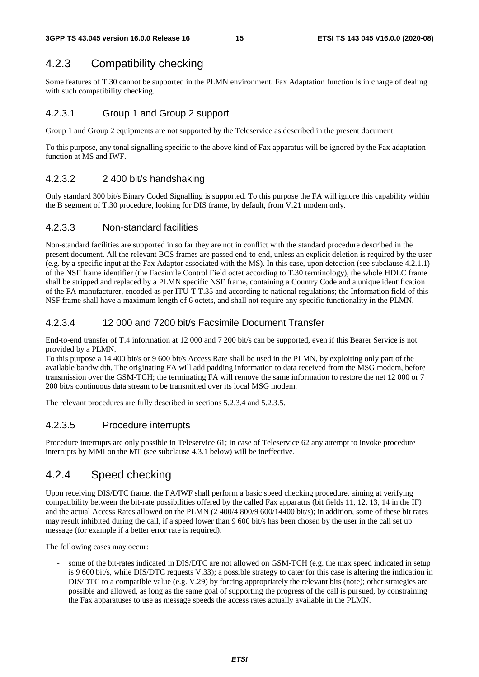### 4.2.3 Compatibility checking

Some features of T.30 cannot be supported in the PLMN environment. Fax Adaptation function is in charge of dealing with such compatibility checking.

#### 4.2.3.1 Group 1 and Group 2 support

Group 1 and Group 2 equipments are not supported by the Teleservice as described in the present document.

To this purpose, any tonal signalling specific to the above kind of Fax apparatus will be ignored by the Fax adaptation function at MS and IWF.

#### 4.2.3.2 2 400 bit/s handshaking

Only standard 300 bit/s Binary Coded Signalling is supported. To this purpose the FA will ignore this capability within the B segment of T.30 procedure, looking for DIS frame, by default, from V.21 modem only.

#### 4.2.3.3 Non-standard facilities

Non-standard facilities are supported in so far they are not in conflict with the standard procedure described in the present document. All the relevant BCS frames are passed end-to-end, unless an explicit deletion is required by the user (e.g. by a specific input at the Fax Adaptor associated with the MS). In this case, upon detection (see subclause 4.2.1.1) of the NSF frame identifier (the Facsimile Control Field octet according to T.30 terminology), the whole HDLC frame shall be stripped and replaced by a PLMN specific NSF frame, containing a Country Code and a unique identification of the FA manufacturer, encoded as per ITU-T T.35 and according to national regulations; the Information field of this NSF frame shall have a maximum length of 6 octets, and shall not require any specific functionality in the PLMN.

#### 4.2.3.4 12 000 and 7200 bit/s Facsimile Document Transfer

End-to-end transfer of T.4 information at 12 000 and 7 200 bit/s can be supported, even if this Bearer Service is not provided by a PLMN.

To this purpose a 14 400 bit/s or 9 600 bit/s Access Rate shall be used in the PLMN, by exploiting only part of the available bandwidth. The originating FA will add padding information to data received from the MSG modem, before transmission over the GSM-TCH; the terminating FA will remove the same information to restore the net 12 000 or 7 200 bit/s continuous data stream to be transmitted over its local MSG modem.

The relevant procedures are fully described in sections 5.2.3.4 and 5.2.3.5.

#### 4.2.3.5 Procedure interrupts

Procedure interrupts are only possible in Teleservice 61; in case of Teleservice 62 any attempt to invoke procedure interrupts by MMI on the MT (see subclause 4.3.1 below) will be ineffective.

#### 4.2.4 Speed checking

Upon receiving DIS/DTC frame, the FA/IWF shall perform a basic speed checking procedure, aiming at verifying compatibility between the bit-rate possibilities offered by the called Fax apparatus (bit fields 11, 12, 13, 14 in the IF) and the actual Access Rates allowed on the PLMN (2 400/4 800/9 600/14400 bit/s); in addition, some of these bit rates may result inhibited during the call, if a speed lower than 9 600 bit/s has been chosen by the user in the call set up message (for example if a better error rate is required).

The following cases may occur:

some of the bit-rates indicated in DIS/DTC are not allowed on GSM-TCH (e.g. the max speed indicated in setup is 9 600 bit/s, while DIS/DTC requests V.33); a possible strategy to cater for this case is altering the indication in DIS/DTC to a compatible value (e.g. V.29) by forcing appropriately the relevant bits (note); other strategies are possible and allowed, as long as the same goal of supporting the progress of the call is pursued, by constraining the Fax apparatuses to use as message speeds the access rates actually available in the PLMN.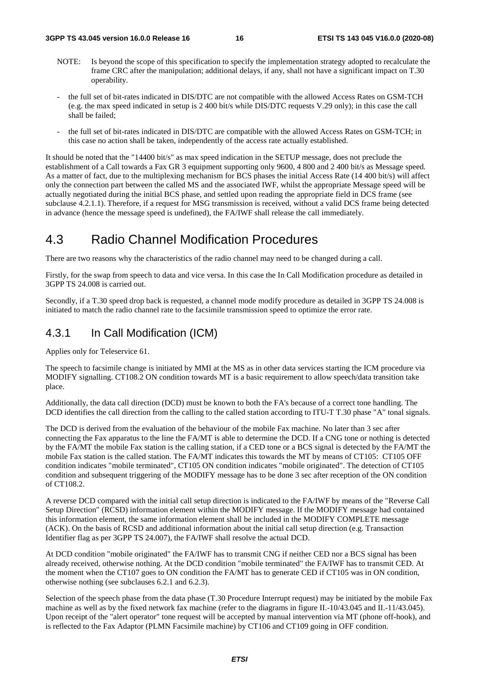- NOTE: Is beyond the scope of this specification to specify the implementation strategy adopted to recalculate the frame CRC after the manipulation; additional delays, if any, shall not have a significant impact on T.30 operability.
- the full set of bit-rates indicated in DIS/DTC are not compatible with the allowed Access Rates on GSM-TCH (e.g. the max speed indicated in setup is 2 400 bit/s while DIS/DTC requests V.29 only); in this case the call shall be failed;
- the full set of bit-rates indicated in DIS/DTC are compatible with the allowed Access Rates on GSM-TCH; in this case no action shall be taken, independently of the access rate actually established.

It should be noted that the "14400 bit/s" as max speed indication in the SETUP message, does not preclude the establishment of a Call towards a Fax GR 3 equipment supporting only 9600, 4 800 and 2 400 bit/s as Message speed. As a matter of fact, due to the multiplexing mechanism for BCS phases the initial Access Rate (14 400 bit/s) will affect only the connection part between the called MS and the associated IWF, whilst the appropriate Message speed will be actually negotiated during the initial BCS phase, and settled upon reading the appropriate field in DCS frame (see subclause 4.2.1.1). Therefore, if a request for MSG transmission is received, without a valid DCS frame being detected in advance (hence the message speed is undefined), the FA/IWF shall release the call immediately.

### 4.3 Radio Channel Modification Procedures

There are two reasons why the characteristics of the radio channel may need to be changed during a call.

Firstly, for the swap from speech to data and vice versa. In this case the In Call Modification procedure as detailed in 3GPP TS 24.008 is carried out.

Secondly, if a T.30 speed drop back is requested, a channel mode modify procedure as detailed in 3GPP TS 24.008 is initiated to match the radio channel rate to the facsimile transmission speed to optimize the error rate.

#### 4.3.1 In Call Modification (ICM)

Applies only for Teleservice 61.

The speech to facsimile change is initiated by MMI at the MS as in other data services starting the ICM procedure via MODIFY signalling. CT108.2 ON condition towards MT is a basic requirement to allow speech/data transition take place.

Additionally, the data call direction (DCD) must be known to both the FA's because of a correct tone handling. The DCD identifies the call direction from the calling to the called station according to ITU-T T.30 phase "A" tonal signals.

The DCD is derived from the evaluation of the behaviour of the mobile Fax machine. No later than 3 sec after connecting the Fax apparatus to the line the FA/MT is able to determine the DCD. If a CNG tone or nothing is detected by the FA/MT the mobile Fax station is the calling station, if a CED tone or a BCS signal is detected by the FA/MT the mobile Fax station is the called station. The FA/MT indicates this towards the MT by means of CT105: CT105 OFF condition indicates "mobile terminated", CT105 ON condition indicates "mobile originated". The detection of CT105 condition and subsequent triggering of the MODIFY message has to be done 3 sec after reception of the ON condition of CT108.2.

A reverse DCD compared with the initial call setup direction is indicated to the FA/IWF by means of the "Reverse Call Setup Direction" (RCSD) information element within the MODIFY message. If the MODIFY message had contained this information element, the same information element shall be included in the MODIFY COMPLETE message (ACK). On the basis of RCSD and additional information about the initial call setup direction (e.g. Transaction Identifier flag as per 3GPP TS 24.007), the FA/IWF shall resolve the actual DCD.

At DCD condition "mobile originated" the FA/IWF has to transmit CNG if neither CED nor a BCS signal has been already received, otherwise nothing. At the DCD condition "mobile terminated" the FA/IWF has to transmit CED. At the moment when the CT107 goes to ON condition the FA/MT has to generate CED if CT105 was in ON condition, otherwise nothing (see subclauses 6.2.1 and 6.2.3).

Selection of the speech phase from the data phase (T.30 Procedure Interrupt request) may be initiated by the mobile Fax machine as well as by the fixed network fax machine (refer to the diagrams in figure II.-10/43.045 and II.-11/43.045). Upon receipt of the "alert operator" tone request will be accepted by manual intervention via MT (phone off-hook), and is reflected to the Fax Adaptor (PLMN Facsimile machine) by CT106 and CT109 going in OFF condition.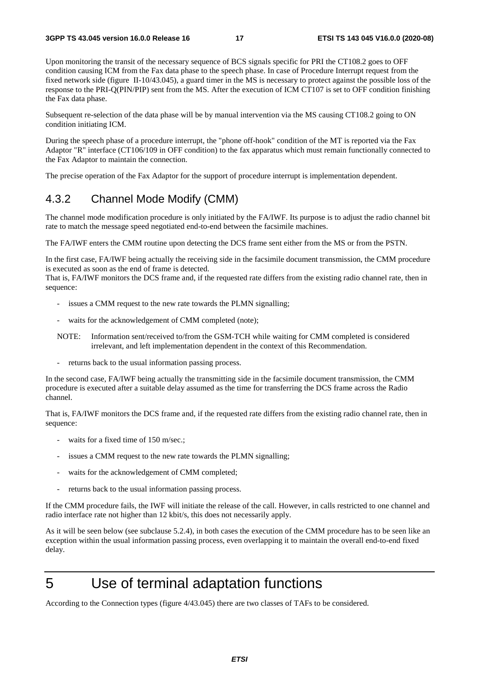Upon monitoring the transit of the necessary sequence of BCS signals specific for PRI the CT108.2 goes to OFF condition causing ICM from the Fax data phase to the speech phase. In case of Procedure Interrupt request from the fixed network side (figure II-10/43.045), a guard timer in the MS is necessary to protect against the possible loss of the response to the PRI-Q(PIN/PIP) sent from the MS. After the execution of ICM CT107 is set to OFF condition finishing the Fax data phase.

Subsequent re-selection of the data phase will be by manual intervention via the MS causing CT108.2 going to ON condition initiating ICM.

During the speech phase of a procedure interrupt, the "phone off-hook" condition of the MT is reported via the Fax Adaptor "R" interface (CT106/109 in OFF condition) to the fax apparatus which must remain functionally connected to the Fax Adaptor to maintain the connection.

The precise operation of the Fax Adaptor for the support of procedure interrupt is implementation dependent.

#### 4.3.2 Channel Mode Modify (CMM)

The channel mode modification procedure is only initiated by the FA/IWF. Its purpose is to adjust the radio channel bit rate to match the message speed negotiated end-to-end between the facsimile machines.

The FA/IWF enters the CMM routine upon detecting the DCS frame sent either from the MS or from the PSTN.

In the first case, FA/IWF being actually the receiving side in the facsimile document transmission, the CMM procedure is executed as soon as the end of frame is detected.

That is, FA/IWF monitors the DCS frame and, if the requested rate differs from the existing radio channel rate, then in sequence:

- issues a CMM request to the new rate towards the PLMN signalling;
- waits for the acknowledgement of CMM completed (note);
- NOTE: Information sent/received to/from the GSM-TCH while waiting for CMM completed is considered irrelevant, and left implementation dependent in the context of this Recommendation.
- returns back to the usual information passing process.

In the second case, FA/IWF being actually the transmitting side in the facsimile document transmission, the CMM procedure is executed after a suitable delay assumed as the time for transferring the DCS frame across the Radio channel.

That is, FA/IWF monitors the DCS frame and, if the requested rate differs from the existing radio channel rate, then in sequence:

- waits for a fixed time of 150 m/sec.;
- issues a CMM request to the new rate towards the PLMN signalling;
- waits for the acknowledgement of CMM completed;
- returns back to the usual information passing process.

If the CMM procedure fails, the IWF will initiate the release of the call. However, in calls restricted to one channel and radio interface rate not higher than 12 kbit/s, this does not necessarily apply.

As it will be seen below (see subclause 5.2.4), in both cases the execution of the CMM procedure has to be seen like an exception within the usual information passing process, even overlapping it to maintain the overall end-to-end fixed delay.

## 5 Use of terminal adaptation functions

According to the Connection types (figure 4/43.045) there are two classes of TAFs to be considered.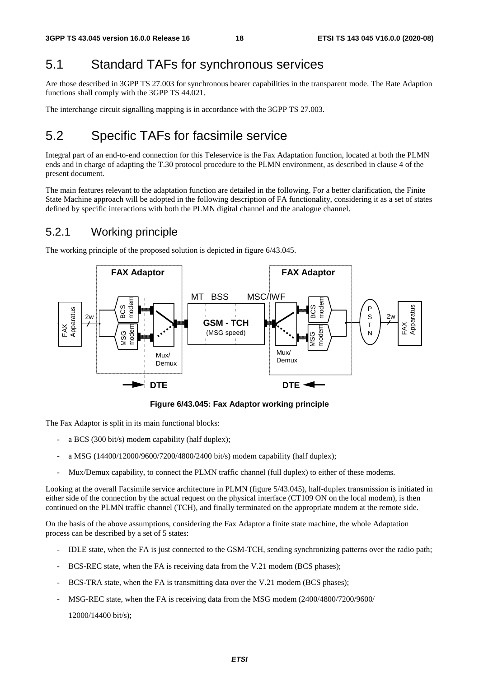### 5.1 Standard TAFs for synchronous services

Are those described in 3GPP TS 27.003 for synchronous bearer capabilities in the transparent mode. The Rate Adaption functions shall comply with the 3GPP TS 44.021.

The interchange circuit signalling mapping is in accordance with the 3GPP TS 27.003.

### 5.2 Specific TAFs for facsimile service

Integral part of an end-to-end connection for this Teleservice is the Fax Adaptation function, located at both the PLMN ends and in charge of adapting the T.30 protocol procedure to the PLMN environment, as described in clause 4 of the present document.

The main features relevant to the adaptation function are detailed in the following. For a better clarification, the Finite State Machine approach will be adopted in the following description of FA functionality, considering it as a set of states defined by specific interactions with both the PLMN digital channel and the analogue channel.

#### 5.2.1 Working principle

The working principle of the proposed solution is depicted in figure 6/43.045.



**Figure 6/43.045: Fax Adaptor working principle** 

The Fax Adaptor is split in its main functional blocks:

- a BCS (300 bit/s) modem capability (half duplex);
- a MSG (14400/12000/9600/7200/4800/2400 bit/s) modem capability (half duplex);
- Mux/Demux capability, to connect the PLMN traffic channel (full duplex) to either of these modems.

Looking at the overall Facsimile service architecture in PLMN (figure 5/43.045), half-duplex transmission is initiated in either side of the connection by the actual request on the physical interface (CT109 ON on the local modem), is then continued on the PLMN traffic channel (TCH), and finally terminated on the appropriate modem at the remote side.

On the basis of the above assumptions, considering the Fax Adaptor a finite state machine, the whole Adaptation process can be described by a set of 5 states:

- IDLE state, when the FA is just connected to the GSM-TCH, sending synchronizing patterns over the radio path;
- BCS-REC state, when the FA is receiving data from the V.21 modem (BCS phases);
- BCS-TRA state, when the FA is transmitting data over the V.21 modem (BCS phases);
- MSG-REC state, when the FA is receiving data from the MSG modem (2400/4800/7200/9600/

12000/14400 bit/s);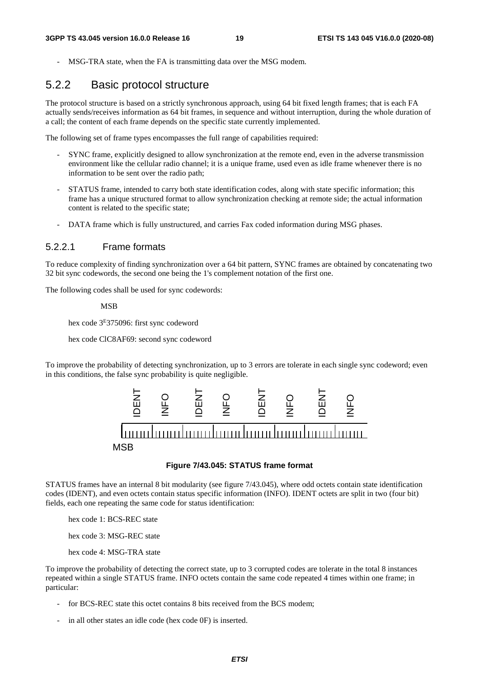MSG-TRA state, when the FA is transmitting data over the MSG modem.

#### 5.2.2 Basic protocol structure

The protocol structure is based on a strictly synchronous approach, using 64 bit fixed length frames; that is each FA actually sends/receives information as 64 bit frames, in sequence and without interruption, during the whole duration of a call; the content of each frame depends on the specific state currently implemented.

The following set of frame types encompasses the full range of capabilities required:

- SYNC frame, explicitly designed to allow synchronization at the remote end, even in the adverse transmission environment like the cellular radio channel; it is a unique frame, used even as idle frame whenever there is no information to be sent over the radio path;
- STATUS frame, intended to carry both state identification codes, along with state specific information; this frame has a unique structured format to allow synchronization checking at remote side; the actual information content is related to the specific state;
- DATA frame which is fully unstructured, and carries Fax coded information during MSG phases.

#### 5.2.2.1 Frame formats

To reduce complexity of finding synchronization over a 64 bit pattern, SYNC frames are obtained by concatenating two 32 bit sync codewords, the second one being the 1's complement notation of the first one.

The following codes shall be used for sync codewords:

MSB

hex code 3E375096: first sync codeword

hex code ClC8AF69: second sync codeword

To improve the probability of detecting synchronization, up to 3 errors are tolerate in each single sync codeword; even in this conditions, the false sync probability is quite negligible.



#### **Figure 7/43.045: STATUS frame format**

STATUS frames have an internal 8 bit modularity (see figure 7/43.045), where odd octets contain state identification codes (IDENT), and even octets contain status specific information (INFO). IDENT octets are split in two (four bit) fields, each one repeating the same code for status identification:

hex code 1: BCS-REC state

hex code 3: MSG-REC state

hex code 4: MSG-TRA state

To improve the probability of detecting the correct state, up to 3 corrupted codes are tolerate in the total 8 instances repeated within a single STATUS frame. INFO octets contain the same code repeated 4 times within one frame; in particular:

- for BCS-REC state this octet contains 8 bits received from the BCS modem;
-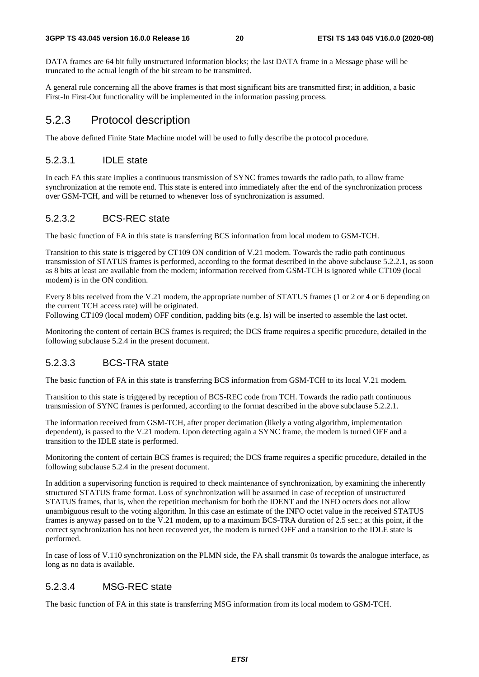DATA frames are 64 bit fully unstructured information blocks; the last DATA frame in a Message phase will be truncated to the actual length of the bit stream to be transmitted.

A general rule concerning all the above frames is that most significant bits are transmitted first; in addition, a basic First-In First-Out functionality will be implemented in the information passing process.

#### 5.2.3 Protocol description

The above defined Finite State Machine model will be used to fully describe the protocol procedure.

#### 5.2.3.1 IDLE state

In each FA this state implies a continuous transmission of SYNC frames towards the radio path, to allow frame synchronization at the remote end. This state is entered into immediately after the end of the synchronization process over GSM-TCH, and will be returned to whenever loss of synchronization is assumed.

#### 5.2.3.2 BCS-REC state

The basic function of FA in this state is transferring BCS information from local modem to GSM-TCH.

Transition to this state is triggered by CT109 ON condition of V.21 modem. Towards the radio path continuous transmission of STATUS frames is performed, according to the format described in the above subclause 5.2.2.1, as soon as 8 bits at least are available from the modem; information received from GSM-TCH is ignored while CT109 (local modem) is in the ON condition.

Every 8 bits received from the V.21 modem, the appropriate number of STATUS frames (1 or 2 or 4 or 6 depending on the current TCH access rate) will be originated.

Following CT109 (local modem) OFF condition, padding bits (e.g. ls) will be inserted to assemble the last octet.

Monitoring the content of certain BCS frames is required; the DCS frame requires a specific procedure, detailed in the following subclause 5.2.4 in the present document.

#### 5.2.3.3 BCS-TRA state

The basic function of FA in this state is transferring BCS information from GSM-TCH to its local V.21 modem.

Transition to this state is triggered by reception of BCS-REC code from TCH. Towards the radio path continuous transmission of SYNC frames is performed, according to the format described in the above subclause 5.2.2.1.

The information received from GSM-TCH, after proper decimation (likely a voting algorithm, implementation dependent), is passed to the V.21 modem. Upon detecting again a SYNC frame, the modem is turned OFF and a transition to the IDLE state is performed.

Monitoring the content of certain BCS frames is required; the DCS frame requires a specific procedure, detailed in the following subclause 5.2.4 in the present document.

In addition a supervisoring function is required to check maintenance of synchronization, by examining the inherently structured STATUS frame format. Loss of synchronization will be assumed in case of reception of unstructured STATUS frames, that is, when the repetition mechanism for both the IDENT and the INFO octets does not allow unambiguous result to the voting algorithm. In this case an estimate of the INFO octet value in the received STATUS frames is anyway passed on to the V.21 modem, up to a maximum BCS-TRA duration of 2.5 sec.; at this point, if the correct synchronization has not been recovered yet, the modem is turned OFF and a transition to the IDLE state is performed.

In case of loss of V.110 synchronization on the PLMN side, the FA shall transmit 0s towards the analogue interface, as long as no data is available.

#### 5.2.3.4 MSG-REC state

The basic function of FA in this state is transferring MSG information from its local modem to GSM-TCH.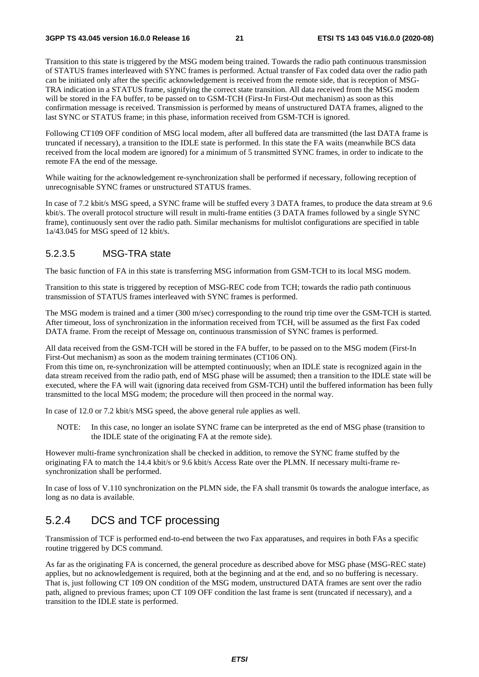Transition to this state is triggered by the MSG modem being trained. Towards the radio path continuous transmission of STATUS frames interleaved with SYNC frames is performed. Actual transfer of Fax coded data over the radio path can be initiated only after the specific acknowledgement is received from the remote side, that is reception of MSG-TRA indication in a STATUS frame, signifying the correct state transition. All data received from the MSG modem will be stored in the FA buffer, to be passed on to GSM-TCH (First-In First-Out mechanism) as soon as this confirmation message is received. Transmission is performed by means of unstructured DATA frames, aligned to the last SYNC or STATUS frame; in this phase, information received from GSM-TCH is ignored.

Following CT109 OFF condition of MSG local modem, after all buffered data are transmitted (the last DATA frame is truncated if necessary), a transition to the IDLE state is performed. In this state the FA waits (meanwhile BCS data received from the local modem are ignored) for a minimum of 5 transmitted SYNC frames, in order to indicate to the remote FA the end of the message.

While waiting for the acknowledgement re-synchronization shall be performed if necessary, following reception of unrecognisable SYNC frames or unstructured STATUS frames.

In case of 7.2 kbit/s MSG speed, a SYNC frame will be stuffed every 3 DATA frames, to produce the data stream at 9.6 kbit/s. The overall protocol structure will result in multi-frame entities (3 DATA frames followed by a single SYNC frame), continuously sent over the radio path. Similar mechanisms for multislot configurations are specified in table 1a/43.045 for MSG speed of 12 kbit/s.

#### 5.2.3.5 MSG-TRA state

The basic function of FA in this state is transferring MSG information from GSM-TCH to its local MSG modem.

Transition to this state is triggered by reception of MSG-REC code from TCH; towards the radio path continuous transmission of STATUS frames interleaved with SYNC frames is performed.

The MSG modem is trained and a timer (300 m/sec) corresponding to the round trip time over the GSM-TCH is started. After timeout, loss of synchronization in the information received from TCH, will be assumed as the first Fax coded DATA frame. From the receipt of Message on, continuous transmission of SYNC frames is performed.

All data received from the GSM-TCH will be stored in the FA buffer, to be passed on to the MSG modem (First-In First-Out mechanism) as soon as the modem training terminates (CT106 ON).

From this time on, re-synchronization will be attempted continuously; when an IDLE state is recognized again in the data stream received from the radio path, end of MSG phase will be assumed; then a transition to the IDLE state will be executed, where the FA will wait (ignoring data received from GSM-TCH) until the buffered information has been fully transmitted to the local MSG modem; the procedure will then proceed in the normal way.

In case of 12.0 or 7.2 kbit/s MSG speed, the above general rule applies as well.

NOTE: In this case, no longer an isolate SYNC frame can be interpreted as the end of MSG phase (transition to the IDLE state of the originating FA at the remote side).

However multi-frame synchronization shall be checked in addition, to remove the SYNC frame stuffed by the originating FA to match the 14.4 kbit/s or 9.6 kbit/s Access Rate over the PLMN. If necessary multi-frame resynchronization shall be performed.

In case of loss of V.110 synchronization on the PLMN side, the FA shall transmit 0s towards the analogue interface, as long as no data is available.

#### 5.2.4 DCS and TCF processing

Transmission of TCF is performed end-to-end between the two Fax apparatuses, and requires in both FAs a specific routine triggered by DCS command.

As far as the originating FA is concerned, the general procedure as described above for MSG phase (MSG-REC state) applies, but no acknowledgement is required, both at the beginning and at the end, and so no buffering is necessary. That is, just following CT 109 ON condition of the MSG modem, unstructured DATA frames are sent over the radio path, aligned to previous frames; upon CT 109 OFF condition the last frame is sent (truncated if necessary), and a transition to the IDLE state is performed.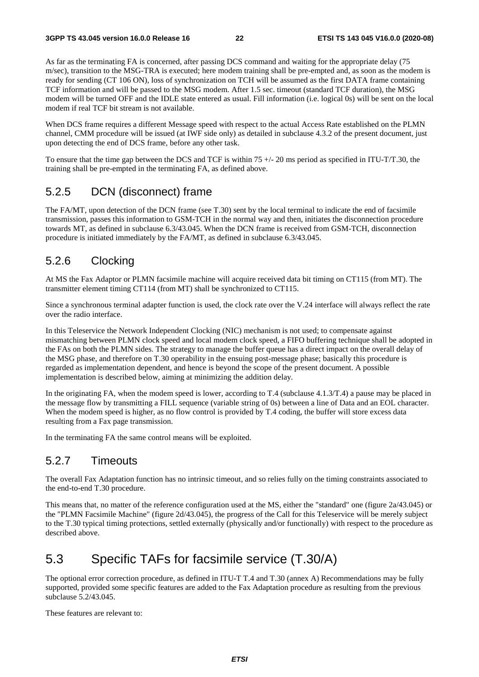As far as the terminating FA is concerned, after passing DCS command and waiting for the appropriate delay (75 m/sec), transition to the MSG-TRA is executed; here modem training shall be pre-empted and, as soon as the modem is ready for sending (CT 106 ON), loss of synchronization on TCH will be assumed as the first DATA frame containing TCF information and will be passed to the MSG modem. After 1.5 sec. timeout (standard TCF duration), the MSG modem will be turned OFF and the IDLE state entered as usual. Fill information (i.e. logical 0s) will be sent on the local modem if real TCF bit stream is not available.

When DCS frame requires a different Message speed with respect to the actual Access Rate established on the PLMN channel, CMM procedure will be issued (at IWF side only) as detailed in subclause 4.3.2 of the present document, just upon detecting the end of DCS frame, before any other task.

To ensure that the time gap between the DCS and TCF is within  $75 +/20$  ms period as specified in ITU-T/T.30, the training shall be pre-empted in the terminating FA, as defined above.

#### 5.2.5 DCN (disconnect) frame

The FA/MT, upon detection of the DCN frame (see T.30) sent by the local terminal to indicate the end of facsimile transmission, passes this information to GSM-TCH in the normal way and then, initiates the disconnection procedure towards MT, as defined in subclause 6.3/43.045. When the DCN frame is received from GSM-TCH, disconnection procedure is initiated immediately by the FA/MT, as defined in subclause 6.3/43.045.

#### 5.2.6 Clocking

At MS the Fax Adaptor or PLMN facsimile machine will acquire received data bit timing on CT115 (from MT). The transmitter element timing CT114 (from MT) shall be synchronized to CT115.

Since a synchronous terminal adapter function is used, the clock rate over the V.24 interface will always reflect the rate over the radio interface.

In this Teleservice the Network Independent Clocking (NIC) mechanism is not used; to compensate against mismatching between PLMN clock speed and local modem clock speed, a FIFO buffering technique shall be adopted in the FAs on both the PLMN sides. The strategy to manage the buffer queue has a direct impact on the overall delay of the MSG phase, and therefore on T.30 operability in the ensuing post-message phase; basically this procedure is regarded as implementation dependent, and hence is beyond the scope of the present document. A possible implementation is described below, aiming at minimizing the addition delay.

In the originating FA, when the modem speed is lower, according to T.4 (subclause 4.1.3/T.4) a pause may be placed in the message flow by transmitting a FILL sequence (variable string of 0s) between a line of Data and an EOL character. When the modem speed is higher, as no flow control is provided by T.4 coding, the buffer will store excess data resulting from a Fax page transmission.

In the terminating FA the same control means will be exploited.

#### 5.2.7 Timeouts

The overall Fax Adaptation function has no intrinsic timeout, and so relies fully on the timing constraints associated to the end-to-end T.30 procedure.

This means that, no matter of the reference configuration used at the MS, either the "standard" one (figure 2a/43.045) or the "PLMN Facsimile Machine" (figure 2d/43.045), the progress of the Call for this Teleservice will be merely subject to the T.30 typical timing protections, settled externally (physically and/or functionally) with respect to the procedure as described above.

### 5.3 Specific TAFs for facsimile service (T.30/A)

The optional error correction procedure, as defined in ITU-T T.4 and T.30 (annex A) Recommendations may be fully supported, provided some specific features are added to the Fax Adaptation procedure as resulting from the previous subclause 5.2/43.045.

These features are relevant to: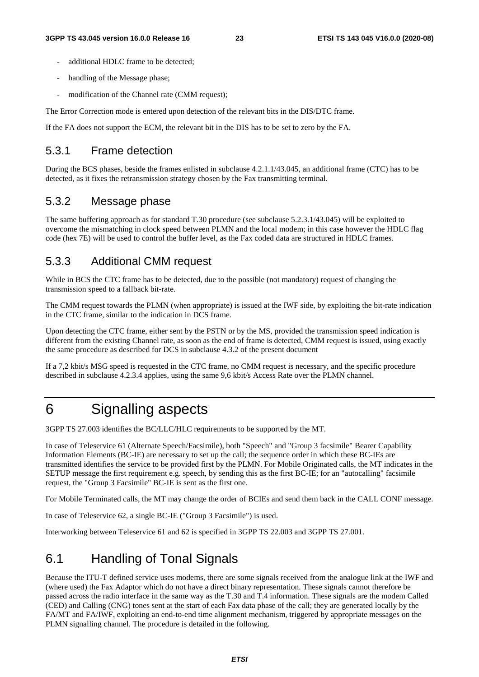- additional HDLC frame to be detected;
- handling of the Message phase;
- modification of the Channel rate (CMM request);

The Error Correction mode is entered upon detection of the relevant bits in the DIS/DTC frame.

If the FA does not support the ECM, the relevant bit in the DIS has to be set to zero by the FA.

#### 5.3.1 Frame detection

During the BCS phases, beside the frames enlisted in subclause 4.2.1.1/43.045, an additional frame (CTC) has to be detected, as it fixes the retransmission strategy chosen by the Fax transmitting terminal.

#### 5.3.2 Message phase

The same buffering approach as for standard T.30 procedure (see subclause 5.2.3.1/43.045) will be exploited to overcome the mismatching in clock speed between PLMN and the local modem; in this case however the HDLC flag code (hex 7E) will be used to control the buffer level, as the Fax coded data are structured in HDLC frames.

#### 5.3.3 Additional CMM request

While in BCS the CTC frame has to be detected, due to the possible (not mandatory) request of changing the transmission speed to a fallback bit-rate.

The CMM request towards the PLMN (when appropriate) is issued at the IWF side, by exploiting the bit-rate indication in the CTC frame, similar to the indication in DCS frame.

Upon detecting the CTC frame, either sent by the PSTN or by the MS, provided the transmission speed indication is different from the existing Channel rate, as soon as the end of frame is detected, CMM request is issued, using exactly the same procedure as described for DCS in subclause 4.3.2 of the present document

If a 7,2 kbit/s MSG speed is requested in the CTC frame, no CMM request is necessary, and the specific procedure described in subclause 4.2.3.4 applies, using the same 9,6 kbit/s Access Rate over the PLMN channel.

## 6 Signalling aspects

3GPP TS 27.003 identifies the BC/LLC/HLC requirements to be supported by the MT.

In case of Teleservice 61 (Alternate Speech/Facsimile), both "Speech" and "Group 3 facsimile" Bearer Capability Information Elements (BC-IE) are necessary to set up the call; the sequence order in which these BC-IEs are transmitted identifies the service to be provided first by the PLMN. For Mobile Originated calls, the MT indicates in the SETUP message the first requirement e.g. speech, by sending this as the first BC-IE; for an "autocalling" facsimile request, the "Group 3 Facsimile" BC-IE is sent as the first one.

For Mobile Terminated calls, the MT may change the order of BCIEs and send them back in the CALL CONF message.

In case of Teleservice 62, a single BC-IE ("Group 3 Facsimile") is used.

Interworking between Teleservice 61 and 62 is specified in 3GPP TS 22.003 and 3GPP TS 27.001.

### 6.1 Handling of Tonal Signals

Because the ITU-T defined service uses modems, there are some signals received from the analogue link at the IWF and (where used) the Fax Adaptor which do not have a direct binary representation. These signals cannot therefore be passed across the radio interface in the same way as the T.30 and T.4 information. These signals are the modem Called (CED) and Calling (CNG) tones sent at the start of each Fax data phase of the call; they are generated locally by the FA/MT and FA/IWF, exploiting an end-to-end time alignment mechanism, triggered by appropriate messages on the PLMN signalling channel. The procedure is detailed in the following.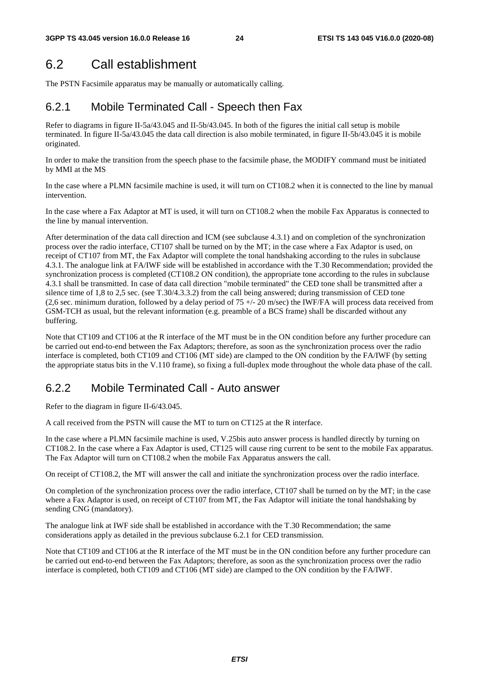### 6.2 Call establishment

The PSTN Facsimile apparatus may be manually or automatically calling.

#### 6.2.1 Mobile Terminated Call - Speech then Fax

Refer to diagrams in figure II-5a/43.045 and II-5b/43.045. In both of the figures the initial call setup is mobile terminated. In figure II-5a/43.045 the data call direction is also mobile terminated, in figure II-5b/43.045 it is mobile originated.

In order to make the transition from the speech phase to the facsimile phase, the MODIFY command must be initiated by MMI at the MS

In the case where a PLMN facsimile machine is used, it will turn on CT108.2 when it is connected to the line by manual intervention.

In the case where a Fax Adaptor at MT is used, it will turn on CT108.2 when the mobile Fax Apparatus is connected to the line by manual intervention.

After determination of the data call direction and ICM (see subclause 4.3.1) and on completion of the synchronization process over the radio interface, CT107 shall be turned on by the MT; in the case where a Fax Adaptor is used, on receipt of CT107 from MT, the Fax Adaptor will complete the tonal handshaking according to the rules in subclause 4.3.1. The analogue link at FA/IWF side will be established in accordance with the T.30 Recommendation; provided the synchronization process is completed (CT108.2 ON condition), the appropriate tone according to the rules in subclause 4.3.1 shall be transmitted. In case of data call direction "mobile terminated" the CED tone shall be transmitted after a silence time of 1,8 to 2,5 sec. (see T.30/4.3.3.2) from the call being answered; during transmission of CED tone (2,6 sec. minimum duration, followed by a delay period of  $75 +/- 20$  m/sec) the IWF/FA will process data received from GSM-TCH as usual, but the relevant information (e.g. preamble of a BCS frame) shall be discarded without any buffering.

Note that CT109 and CT106 at the R interface of the MT must be in the ON condition before any further procedure can be carried out end-to-end between the Fax Adaptors; therefore, as soon as the synchronization process over the radio interface is completed, both CT109 and CT106 (MT side) are clamped to the ON condition by the FA/IWF (by setting the appropriate status bits in the V.110 frame), so fixing a full-duplex mode throughout the whole data phase of the call.

#### 6.2.2 Mobile Terminated Call - Auto answer

Refer to the diagram in figure II-6/43.045.

A call received from the PSTN will cause the MT to turn on CT125 at the R interface.

In the case where a PLMN facsimile machine is used, V.25bis auto answer process is handled directly by turning on CT108.2. In the case where a Fax Adaptor is used, CT125 will cause ring current to be sent to the mobile Fax apparatus. The Fax Adaptor will turn on CT108.2 when the mobile Fax Apparatus answers the call.

On receipt of CT108.2, the MT will answer the call and initiate the synchronization process over the radio interface.

On completion of the synchronization process over the radio interface, CT107 shall be turned on by the MT; in the case where a Fax Adaptor is used, on receipt of CT107 from MT, the Fax Adaptor will initiate the tonal handshaking by sending CNG (mandatory).

The analogue link at IWF side shall be established in accordance with the T.30 Recommendation; the same considerations apply as detailed in the previous subclause 6.2.1 for CED transmission.

Note that CT109 and CT106 at the R interface of the MT must be in the ON condition before any further procedure can be carried out end-to-end between the Fax Adaptors; therefore, as soon as the synchronization process over the radio interface is completed, both CT109 and CT106 (MT side) are clamped to the ON condition by the FA/IWF.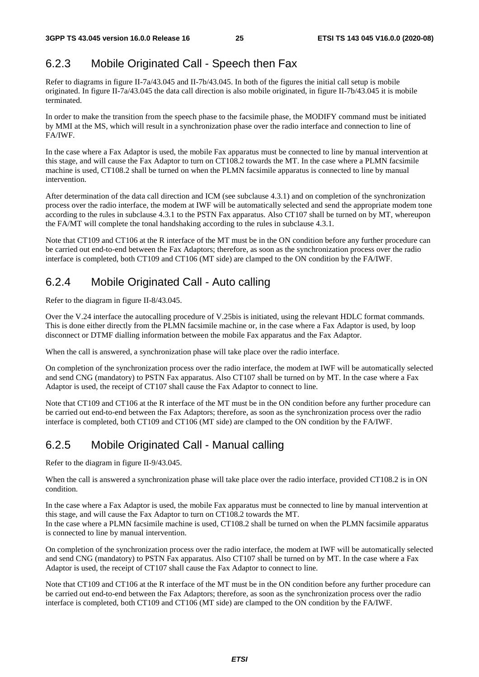### 6.2.3 Mobile Originated Call - Speech then Fax

Refer to diagrams in figure II-7a/43.045 and II-7b/43.045. In both of the figures the initial call setup is mobile originated. In figure II-7a/43.045 the data call direction is also mobile originated, in figure II-7b/43.045 it is mobile terminated.

In order to make the transition from the speech phase to the facsimile phase, the MODIFY command must be initiated by MMI at the MS, which will result in a synchronization phase over the radio interface and connection to line of FA/IWF.

In the case where a Fax Adaptor is used, the mobile Fax apparatus must be connected to line by manual intervention at this stage, and will cause the Fax Adaptor to turn on CT108.2 towards the MT. In the case where a PLMN facsimile machine is used, CT108.2 shall be turned on when the PLMN facsimile apparatus is connected to line by manual intervention.

After determination of the data call direction and ICM (see subclause 4.3.1) and on completion of the synchronization process over the radio interface, the modem at IWF will be automatically selected and send the appropriate modem tone according to the rules in subclause 4.3.1 to the PSTN Fax apparatus. Also CT107 shall be turned on by MT, whereupon the FA/MT will complete the tonal handshaking according to the rules in subclause 4.3.1.

Note that CT109 and CT106 at the R interface of the MT must be in the ON condition before any further procedure can be carried out end-to-end between the Fax Adaptors; therefore, as soon as the synchronization process over the radio interface is completed, both CT109 and CT106 (MT side) are clamped to the ON condition by the FA/IWF.

### 6.2.4 Mobile Originated Call - Auto calling

Refer to the diagram in figure II-8/43.045.

Over the V.24 interface the autocalling procedure of V.25bis is initiated, using the relevant HDLC format commands. This is done either directly from the PLMN facsimile machine or, in the case where a Fax Adaptor is used, by loop disconnect or DTMF dialling information between the mobile Fax apparatus and the Fax Adaptor.

When the call is answered, a synchronization phase will take place over the radio interface.

On completion of the synchronization process over the radio interface, the modem at IWF will be automatically selected and send CNG (mandatory) to PSTN Fax apparatus. Also CT107 shall be turned on by MT. In the case where a Fax Adaptor is used, the receipt of CT107 shall cause the Fax Adaptor to connect to line.

Note that CT109 and CT106 at the R interface of the MT must be in the ON condition before any further procedure can be carried out end-to-end between the Fax Adaptors; therefore, as soon as the synchronization process over the radio interface is completed, both CT109 and CT106 (MT side) are clamped to the ON condition by the FA/IWF.

### 6.2.5 Mobile Originated Call - Manual calling

Refer to the diagram in figure II-9/43.045.

When the call is answered a synchronization phase will take place over the radio interface, provided CT108.2 is in ON condition.

In the case where a Fax Adaptor is used, the mobile Fax apparatus must be connected to line by manual intervention at this stage, and will cause the Fax Adaptor to turn on CT108.2 towards the MT. In the case where a PLMN facsimile machine is used, CT108.2 shall be turned on when the PLMN facsimile apparatus is connected to line by manual intervention.

On completion of the synchronization process over the radio interface, the modem at IWF will be automatically selected and send CNG (mandatory) to PSTN Fax apparatus. Also CT107 shall be turned on by MT. In the case where a Fax Adaptor is used, the receipt of CT107 shall cause the Fax Adaptor to connect to line.

Note that CT109 and CT106 at the R interface of the MT must be in the ON condition before any further procedure can be carried out end-to-end between the Fax Adaptors; therefore, as soon as the synchronization process over the radio interface is completed, both CT109 and CT106 (MT side) are clamped to the ON condition by the FA/IWF.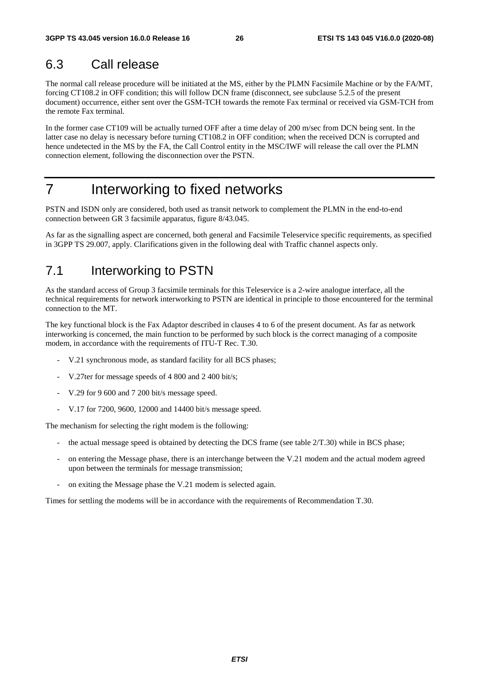### 6.3 Call release

The normal call release procedure will be initiated at the MS, either by the PLMN Facsimile Machine or by the FA/MT, forcing CT108.2 in OFF condition; this will follow DCN frame (disconnect, see subclause 5.2.5 of the present document) occurrence, either sent over the GSM-TCH towards the remote Fax terminal or received via GSM-TCH from the remote Fax terminal.

In the former case CT109 will be actually turned OFF after a time delay of 200 m/sec from DCN being sent. In the latter case no delay is necessary before turning CT108.2 in OFF condition; when the received DCN is corrupted and hence undetected in the MS by the FA, the Call Control entity in the MSC/IWF will release the call over the PLMN connection element, following the disconnection over the PSTN.

## 7 Interworking to fixed networks

PSTN and ISDN only are considered, both used as transit network to complement the PLMN in the end-to-end connection between GR 3 facsimile apparatus, figure 8/43.045.

As far as the signalling aspect are concerned, both general and Facsimile Teleservice specific requirements, as specified in 3GPP TS 29.007, apply. Clarifications given in the following deal with Traffic channel aspects only.

### 7.1 Interworking to PSTN

As the standard access of Group 3 facsimile terminals for this Teleservice is a 2-wire analogue interface, all the technical requirements for network interworking to PSTN are identical in principle to those encountered for the terminal connection to the MT.

The key functional block is the Fax Adaptor described in clauses 4 to 6 of the present document. As far as network interworking is concerned, the main function to be performed by such block is the correct managing of a composite modem, in accordance with the requirements of ITU-T Rec. T.30.

- V.21 synchronous mode, as standard facility for all BCS phases;
- V.27ter for message speeds of 4 800 and 2 400 bit/s;
- V.29 for 9 600 and 7 200 bit/s message speed.
- V.17 for 7200, 9600, 12000 and 14400 bit/s message speed.

The mechanism for selecting the right modem is the following:

- the actual message speed is obtained by detecting the DCS frame (see table  $2/T.30$ ) while in BCS phase;
- on entering the Message phase, there is an interchange between the V.21 modem and the actual modem agreed upon between the terminals for message transmission;
- on exiting the Message phase the V.21 modem is selected again.

Times for settling the modems will be in accordance with the requirements of Recommendation T.30.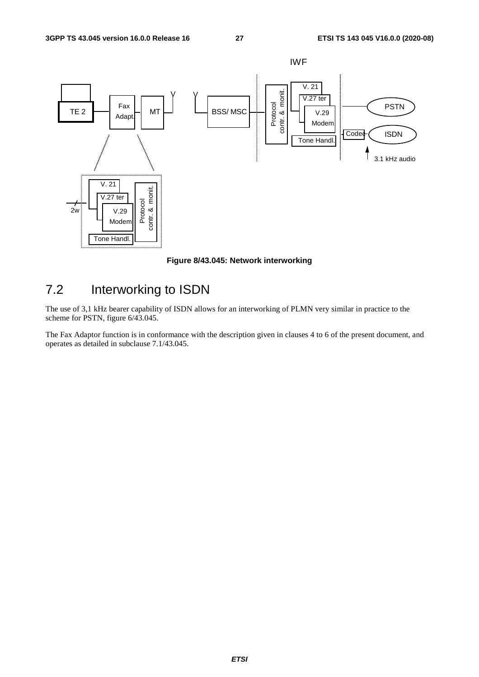

**Figure 8/43.045: Network interworking** 

## 7.2 Interworking to ISDN

The use of 3,1 kHz bearer capability of ISDN allows for an interworking of PLMN very similar in practice to the scheme for PSTN, figure 6/43.045.

The Fax Adaptor function is in conformance with the description given in clauses 4 to 6 of the present document, and operates as detailed in subclause 7.1/43.045.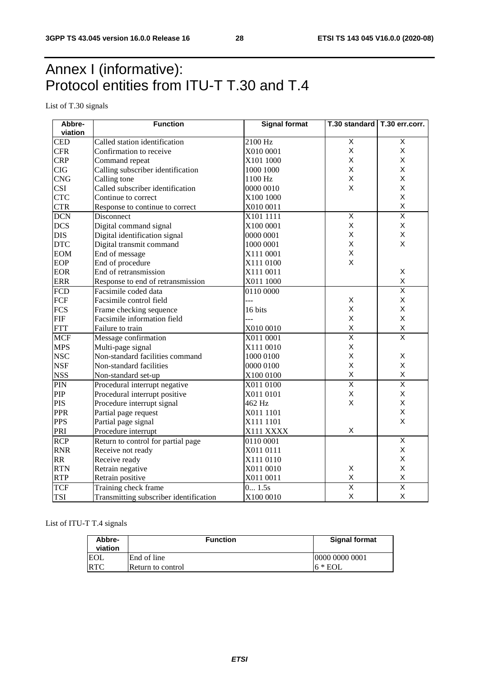## Annex I (informative): Protocol entities from ITU-T T.30 and T.4

List of T.30 signals

| Abbre-     | <b>Function</b>                        | <b>Signal format</b> | T.30 standard   T.30 err.corr. |                         |  |
|------------|----------------------------------------|----------------------|--------------------------------|-------------------------|--|
| viation    |                                        |                      |                                |                         |  |
| <b>CED</b> | Called station identification          | 2100 Hz              | $\overline{X}$                 | X                       |  |
| <b>CFR</b> | Confirmation to receive                | X010 0001            | X                              | X                       |  |
| <b>CRP</b> | Command repeat                         | X101 1000            | X                              | X                       |  |
| <b>CIG</b> | Calling subscriber identification      | 1000 1000            | X                              | X                       |  |
| <b>CNG</b> | Calling tone                           | 1100 Hz              | X                              | X                       |  |
| <b>CSI</b> | Called subscriber identification       | 0000 0010            | X                              | X                       |  |
| <b>CTC</b> | Continue to correct                    | X100 1000            |                                | X                       |  |
| <b>CTR</b> | Response to continue to correct        | X010 0011            |                                | X                       |  |
| <b>DCN</b> | Disconnect                             | X101 1111            | $\overline{X}$                 | $\overline{\mathsf{x}}$ |  |
| <b>DCS</b> | Digital command signal                 | X100 0001            | X                              | X                       |  |
| <b>DIS</b> | Digital identification signal          | 0000 0001            | $\mathsf X$                    | X                       |  |
| <b>DTC</b> | Digital transmit command               | 1000 0001            | X                              | X                       |  |
| <b>EOM</b> | End of message                         | X111 0001            | X                              |                         |  |
| <b>EOP</b> | End of procedure                       | X111 0100            | $\mathsf{x}$                   |                         |  |
| <b>EOR</b> | End of retransmission                  | X111 0011            |                                | X                       |  |
| <b>ERR</b> | Response to end of retransmission      | X011 1000            |                                | X                       |  |
| <b>FCD</b> | Facsimile coded data                   | 0110 0000            |                                | $\overline{\mathsf{x}}$ |  |
| <b>FCF</b> | Facsimile control field                | ---                  | $\mathsf X$                    | X                       |  |
| <b>FCS</b> | Frame checking sequence                | 16 bits              | X                              | X                       |  |
| FIF        | Facsimile information field            | $-1$                 | X                              | X                       |  |
| <b>FTT</b> | Failure to train                       | X010 0010            | X                              | X                       |  |
| <b>MCF</b> | Message confirmation                   | X011 0001            | $\overline{\mathsf{x}}$        | $\overline{\mathsf{x}}$ |  |
| <b>MPS</b> | Multi-page signal                      | X111 0010            | $\mathsf X$                    |                         |  |
| <b>NSC</b> | Non-standard facilities command        | 1000 0100            | $\mathsf{X}$                   | X                       |  |
| <b>NSF</b> | Non-standard facilities                | 0000 0100            | X                              | X                       |  |
| <b>NSS</b> | Non-standard set-up                    | X100 0100            | $\sf X$                        | X                       |  |
| <b>PIN</b> | Procedural interrupt negative          | X011 0100            | $\overline{\mathsf{x}}$        | $\overline{\mathsf{x}}$ |  |
| PIP        | Procedural interrupt positive          | X011 0101            | $\pmb{\times}$                 | X                       |  |
| <b>PIS</b> | Procedure interrupt signal             | 462 Hz               | $\mathsf{x}$                   | X                       |  |
| <b>PPR</b> | Partial page request                   | X011 1101            |                                | X                       |  |
| <b>PPS</b> | Partial page signal                    | X111 1101            |                                | X                       |  |
| PRI        | Procedure interrupt                    | X111 XXXX            | X                              |                         |  |
| <b>RCP</b> | Return to control for partial page     | 0110 0001            |                                | $\overline{\mathsf{x}}$ |  |
| <b>RNR</b> | Receive not ready                      | X011 0111            |                                | X                       |  |
| <b>RR</b>  | Receive ready                          | X111 0110            |                                | Χ                       |  |
| <b>RTN</b> | Retrain negative                       | X011 0010            | X                              | X                       |  |
| <b>RTP</b> | Retrain positive                       | X011 0011            | $\sf X$                        | X                       |  |
| <b>TCF</b> | Training check frame                   | 0 1.5s               | $\overline{\mathsf{x}}$        | $\overline{\mathsf{x}}$ |  |
| <b>TSI</b> | Transmitting subscriber identification | X100 0010            | $\sf X$                        | X                       |  |

List of ITU-T T.4 signals

| Abbre-<br>viation | <b>Function</b>   | <b>Signal format</b> |
|-------------------|-------------------|----------------------|
|                   | End of line       | 10000 0000 0001      |
| <b>RTC</b>        | Return to control | $16 * EOL$           |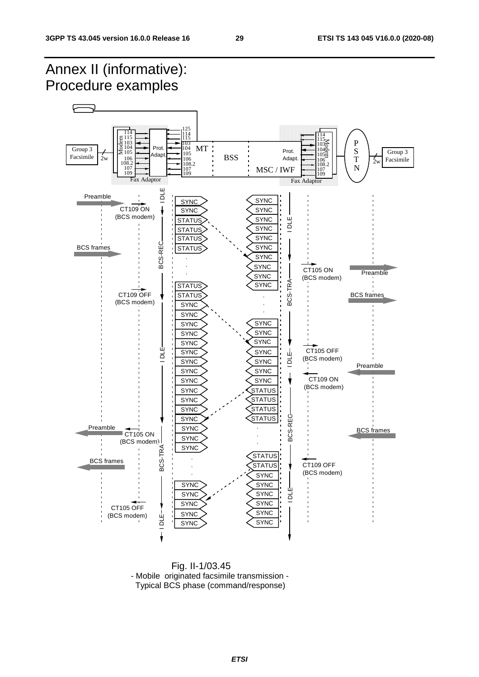#### Annex II (informative): Procedure examples F 115 114 125 115 114 114 E 115<br>⊎ 103<br>2 104<br>2 105 115 103<br>104  $\frac{1135}{1040}$ P 103 104 103 104 Prot. MT Group 3 S Group 3  $\text{Adapt.}$  Prot. 105 **BSS** Facsimile  $2w$  |  $106$   $106$   $106$   $108$   $108$   $108$   $108$   $108$   $109$   $109$ 108.2 106 T Facsimile 108.2 106 108.2 106  $2w$ N 107 109 MSC / IWF 107 109 107 109  $Fax$  Adaptor **Fax Adaptor** Preamble  $\overline{a}$ SYNC SYNC CT109 ON **SYNC SYNC** (BCS modem) IDLE-SYNC **STATUS** BCS-TRA-I DLE **SYNC STATUS** SYNC **STATUS** BCS-REC BCS-REC BCS frames **STATUS SYNC SYNC** . . **SYNC** CT105 ON . Preamble SYNC (BCS modem) BCS-TRA-**SYNC STATUS** CT109 OFF BCS frames **STATUS** . (BCS modem) **SYNC** . . **SYNC SYNC SYNC SYNC SYNC SYNC** SYNC ய் CT105 OFF I DLE I DLE I DLE I DLE I DLE I DLE I DLE I DLE I DLE I DLE I DLE I DLE I DLE I DLE I DLE I DLE I DLE I DLE I **SYNC SYNC** Щ ă I DLE I NH DLE I DLE (BCS modem) ᆷ **SYNC SYNC** Preamble **SYNC** SYNC CT109 ON SYNC SYNC (BCS modem) **SYNC STATUS SYNC STATUS STATUS SYNC** BCS-REG **STATUS** BCS-REC **SYNC** Preamble **SYNC** . BCS frames CT<sub>105</sub> ON . **SYNC**  $(BCS \text{ modem})$ <br> $\begin{array}{c} 1 \ 1 \ 1 \ \text{pc} \\ 2 \end{array}$ <br> $\begin{array}{c} 1 \ 1 \ \text{pc} \\ 2 \end{array}$ . **SYNC**  BCS-TRA **STATUS** . BCS frames CT109 OFF **STATUS** . (BCS modem) . **SYNC SYNC SYNC** Щ **SYNC** SYNC ă **SYNC SYNC** CT105 OFF **SYNC SYNC** (BCS modem)  $10LE-$ **SYNC SYNC**

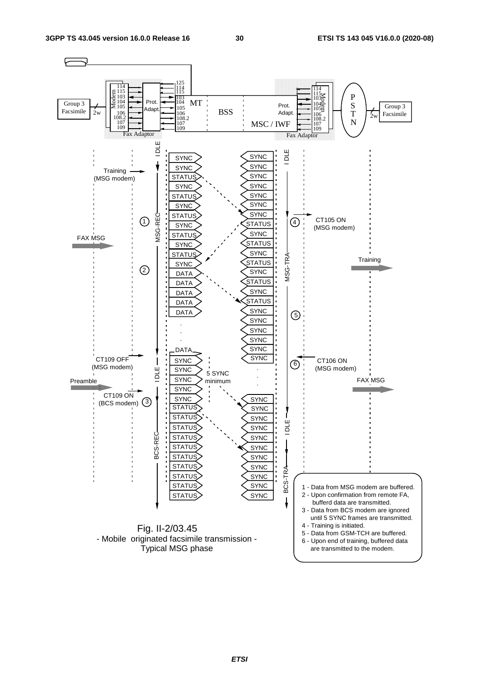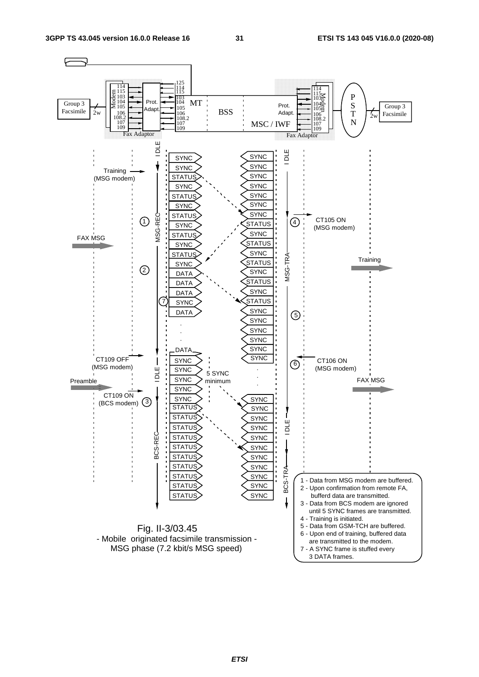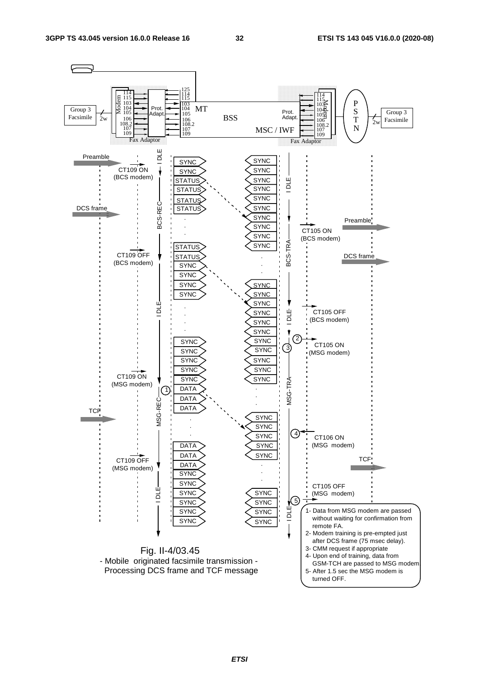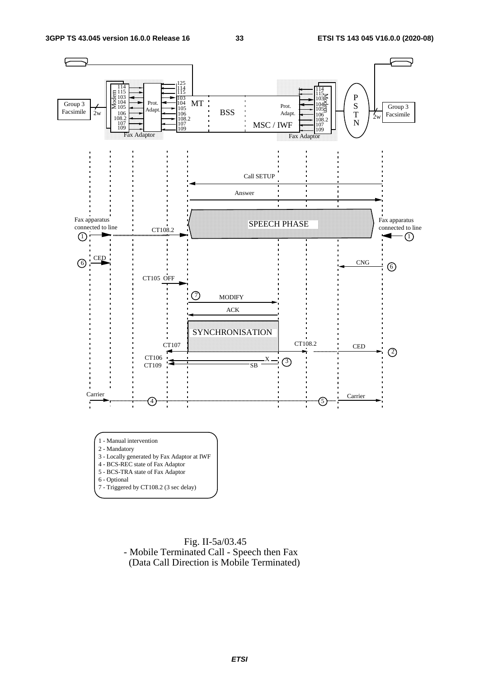

 Fig. II-5a/03.45 - Mobile Terminated Call - Speech then Fax (Data Call Direction is Mobile Terminated)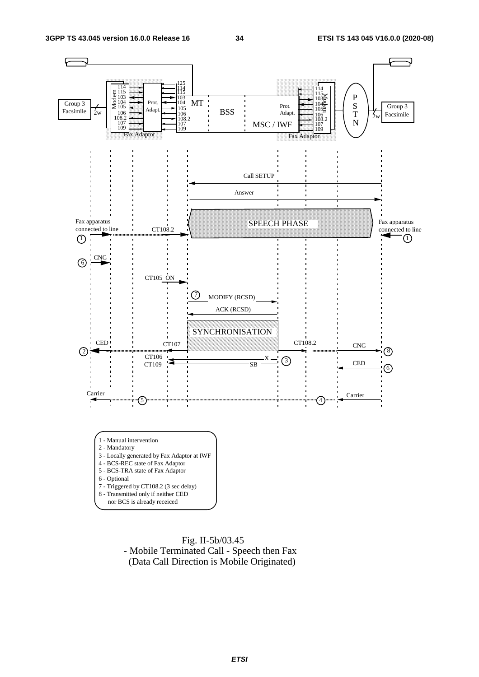

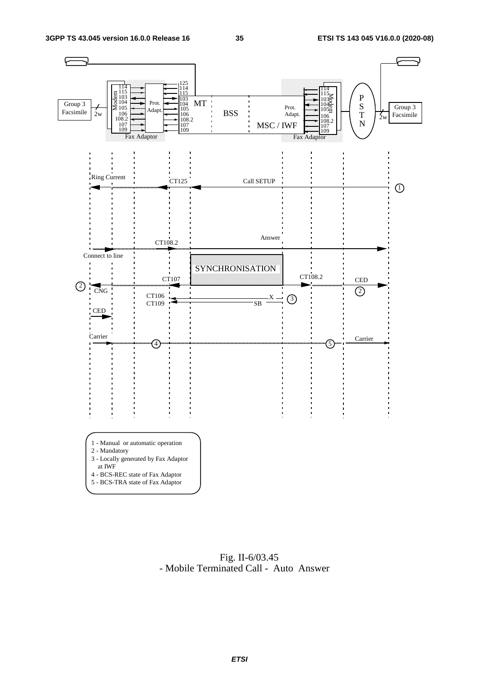

 Fig. II-6/03.45 - Mobile Terminated Call - Auto Answer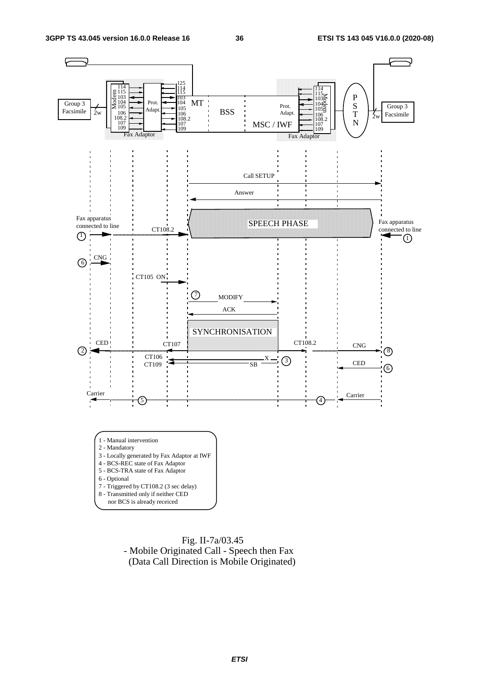

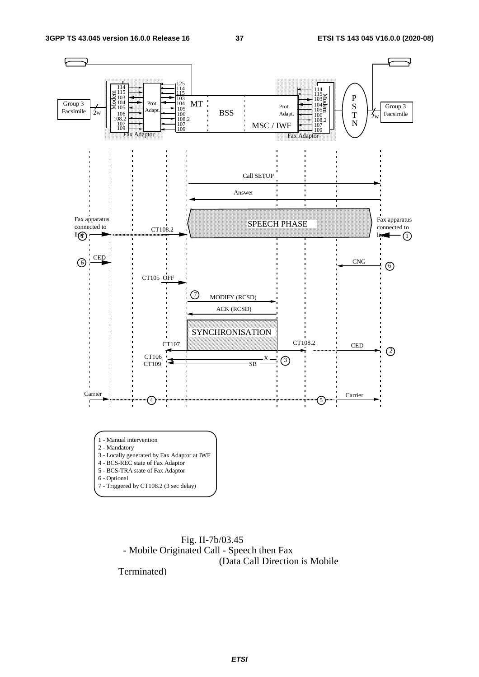

 Fig. II-7b/03.45 - Mobile Originated Call - Speech then Fax (Data Call Direction is Mobile

Terminated)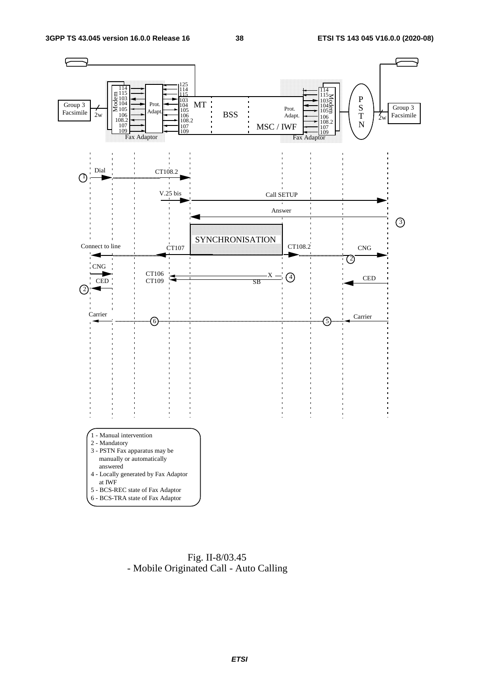

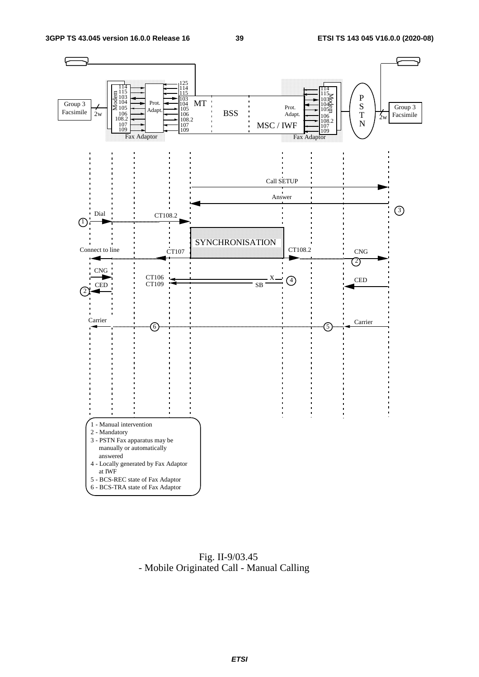

 Fig. II-9/03.45 - Mobile Originated Call - Manual Calling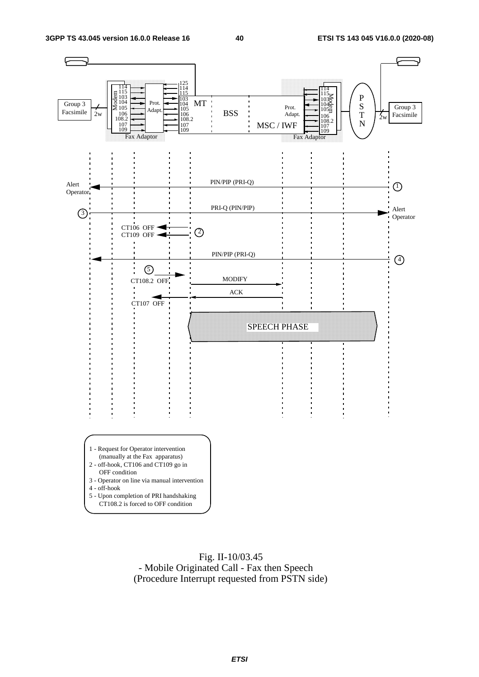

 Fig. II-10/03.45 - Mobile Originated Call - Fax then Speech (Procedure Interrupt requested from PSTN side)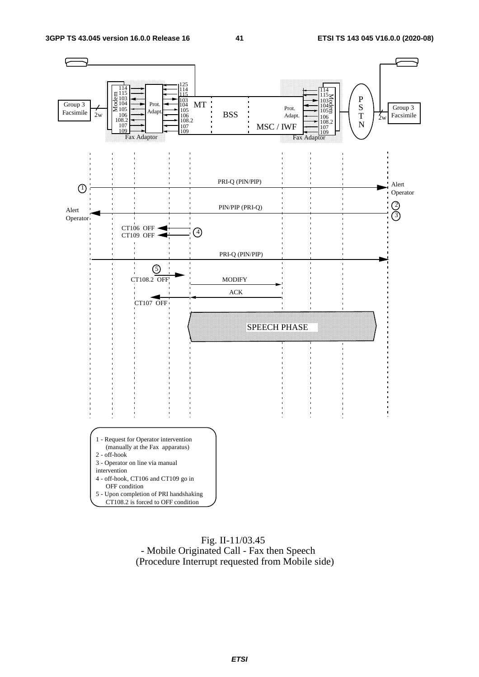

#### Fig. II-11/03.45 - Mobile Originated Call - Fax then Speech (Procedure Interrupt requested from Mobile side)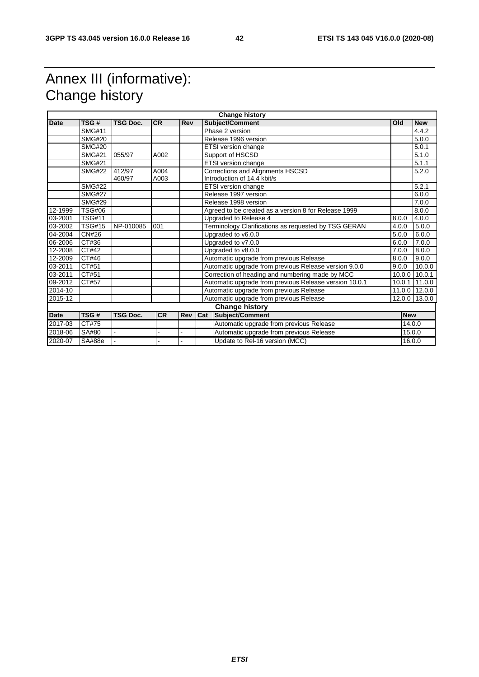## Annex III (informative): Change history

| <b>Change history</b> |                             |                 |           |     |                                                       |                                                        |            |               |
|-----------------------|-----------------------------|-----------------|-----------|-----|-------------------------------------------------------|--------------------------------------------------------|------------|---------------|
| <b>Date</b>           | TSG#                        | <b>TSG Doc.</b> | <b>CR</b> | Rev |                                                       | <b>Subject/Comment</b>                                 | Old        | <b>New</b>    |
|                       | <b>SMG#11</b>               |                 |           |     |                                                       | Phase 2 version                                        |            | 4.4.2         |
|                       | <b>SMG#20</b>               |                 |           |     | Release 1996 version                                  |                                                        |            | 5.0.0         |
|                       | <b>SMG#20</b>               |                 |           |     |                                                       | <b>ETSI</b> version change                             |            | 5.0.1         |
|                       | <b>SMG#21</b>               | 055/97          | A002      |     |                                                       | Support of HSCSD                                       |            | 5.1.0         |
|                       | $\overline{\text{SMG}\#21}$ |                 |           |     |                                                       | ETSI version change                                    |            | 5.1.1         |
|                       | <b>SMG#22</b>               | 412/97          | A004      |     |                                                       | Corrections and Alignments HSCSD                       |            | 5.2.0         |
|                       |                             | 460/97          | A003      |     |                                                       | Introduction of 14.4 kbit/s                            |            |               |
|                       | <b>SMG#22</b>               |                 |           |     |                                                       | ETSI version change                                    |            | 5.2.1         |
|                       | <b>SMG#27</b>               |                 |           |     |                                                       | Release 1997 version                                   |            | 6.0.0         |
|                       | <b>SMG#29</b>               |                 |           |     |                                                       | Release 1998 version                                   |            | 7.0.0         |
| 12-1999               | <b>TSG#06</b>               |                 |           |     |                                                       | Agreed to be created as a version 8 for Release 1999   |            | 8.0.0         |
| 03-2001               | <b>TSG#11</b>               |                 |           |     | Upgraded to Release 4                                 |                                                        | 8.0.0      | 4.0.0         |
| 03-2002               | <b>TSG#15</b>               | NP-010085       | 001       |     | Terminology Clarifications as requested by TSG GERAN  |                                                        | 4.0.0      | 5.0.0         |
| 04-2004               | <b>CN#26</b>                |                 |           |     | Upgraded to v6.0.0                                    |                                                        | 5.0.0      | 6.0.0         |
| 06-2006               | CT#36                       |                 |           |     | Upgraded to v7.0.0                                    |                                                        | 6.0.0      | 7.0.0         |
| 12-2008               | CT#42                       |                 |           |     | Upgraded to v8.0.0                                    |                                                        | 7.0.0      | 8.0.0         |
| 12-2009               | CT#46                       |                 |           |     | Automatic upgrade from previous Release               |                                                        | 8.0.0      | 9.0.0         |
| 03-2011               | CT#51                       |                 |           |     | Automatic upgrade from previous Release version 9.0.0 |                                                        | 9.0.0      | 10.0.0        |
| 03-2011               | CT#51                       |                 |           |     | Correction of heading and numbering made by MCC       |                                                        | 10.0.0     | 10.0.1        |
| 09-2012               | CT#57                       |                 |           |     |                                                       | Automatic upgrade from previous Release version 10.0.1 | 10.0.1     | 11.0.0        |
| 2014-10               |                             |                 |           |     | Automatic upgrade from previous Release               |                                                        |            | 11.0.0 12.0.0 |
| 2015-12               |                             |                 |           |     |                                                       | Automatic upgrade from previous Release                |            | 12.0.0 13.0.0 |
|                       |                             |                 |           |     |                                                       | <b>Change history</b>                                  |            |               |
| <b>Date</b>           | TSG#                        | <b>TSG Doc.</b> | <b>CR</b> | Rev | Cat                                                   | Subject/Comment                                        | <b>New</b> |               |
| 2017-03               | CT#75                       |                 |           |     |                                                       | Automatic upgrade from previous Release                |            | 14.0.0        |
| 2018-06               | SA#80                       |                 |           |     | Automatic upgrade from previous Release               |                                                        |            | 15.0.0        |
| 2020-07               | SA#88e                      |                 |           |     | Update to Rel-16 version (MCC)                        |                                                        |            | 16.0.0        |